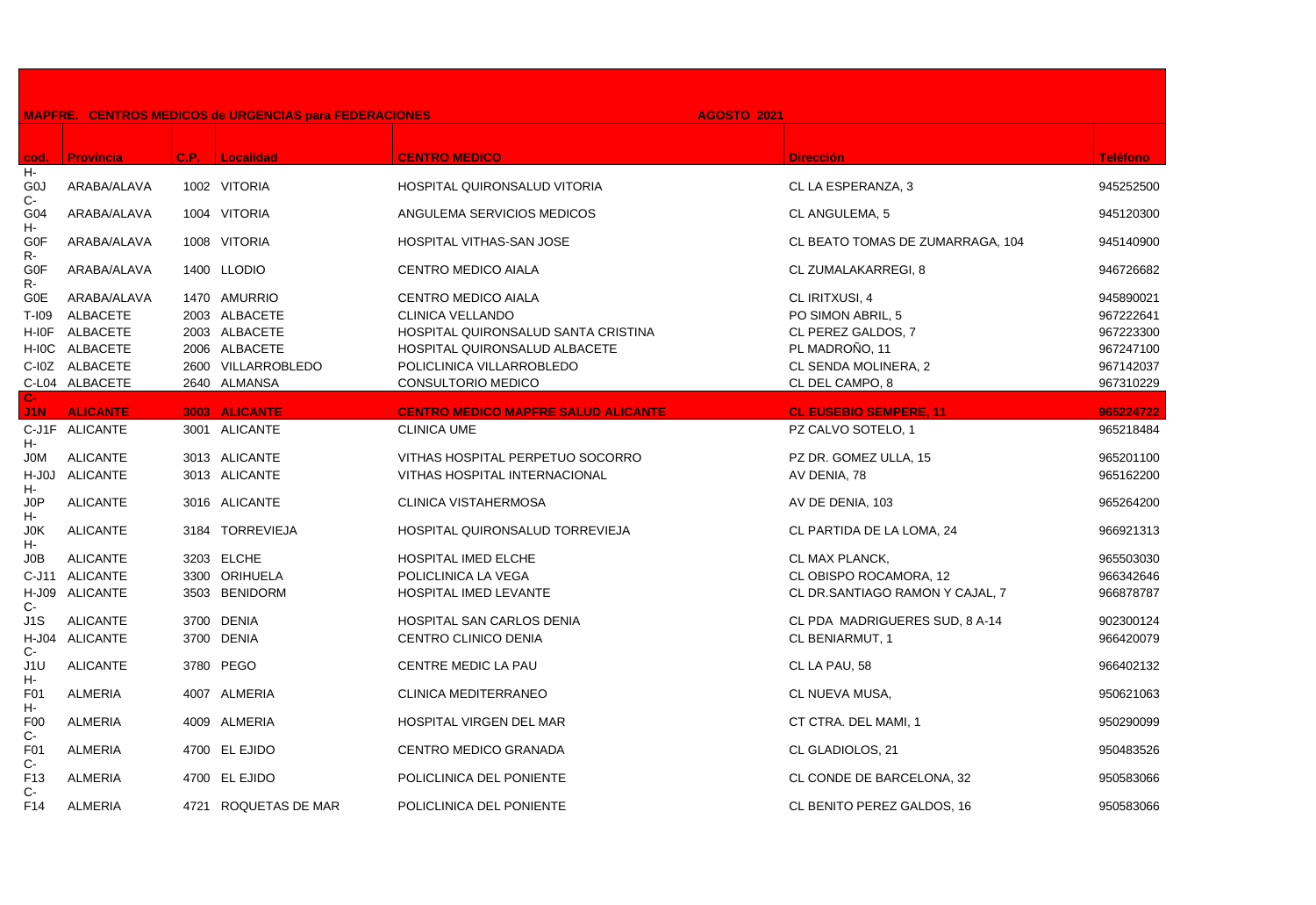|                          |                  |      | <b>MAPFRE. CENTROS MEDICOS de URGENCIAS para FEDERACIONES</b> |                                            | <b>AGOSTO 2021</b>               |                 |
|--------------------------|------------------|------|---------------------------------------------------------------|--------------------------------------------|----------------------------------|-----------------|
| cod.                     | <b>Provincia</b> | C.P. | Localidad                                                     | <b>CENTRO MEDICO</b>                       | <b>Dirección</b>                 | <b>Teléfono</b> |
| H-                       |                  |      |                                                               |                                            |                                  |                 |
| G <sub>0</sub><br>C-     | ARABA/ALAVA      |      | 1002 VITORIA                                                  | HOSPITAL QUIRONSALUD VITORIA               | CL LA ESPERANZA, 3               | 945252500       |
| G04<br>н-                | ARABA/ALAVA      |      | 1004 VITORIA                                                  | ANGULEMA SERVICIOS MEDICOS                 | CL ANGULEMA, 5                   | 945120300       |
| G0F<br>R-                | ARABA/ALAVA      |      | 1008 VITORIA                                                  | HOSPITAL VITHAS-SAN JOSE                   | CL BEATO TOMAS DE ZUMARRAGA, 104 | 945140900       |
| <b>G0F</b><br>R-         | ARABA/ALAVA      |      | 1400 LLODIO                                                   | <b>CENTRO MEDICO AIALA</b>                 | CL ZUMALAKARREGI, 8              | 946726682       |
| G0E                      | ARABA/ALAVA      |      | 1470 AMURRIO                                                  | CENTRO MEDICO AIALA                        | CL IRITXUSI, 4                   | 945890021       |
| T-109                    | <b>ALBACETE</b>  |      | 2003 ALBACETE                                                 | CLINICA VELLANDO                           | PO SIMON ABRIL, 5                | 967222641       |
| H-I0F                    | <b>ALBACETE</b>  |      | 2003 ALBACETE                                                 | HOSPITAL QUIRONSALUD SANTA CRISTINA        | CL PEREZ GALDOS, 7               | 967223300       |
|                          | H-IOC ALBACETE   |      | 2006 ALBACETE                                                 | HOSPITAL QUIRONSALUD ALBACETE              | PL MADROÑO, 11                   | 967247100       |
|                          | C-I0Z ALBACETE   |      | 2600 VILLARROBLEDO                                            | POLICLINICA VILLARROBLEDO                  | CL SENDA MOLINERA, 2             | 967142037       |
|                          | C-L04 ALBACETE   |      | 2640 ALMANSA                                                  | CONSULTORIO MEDICO                         | CL DEL CAMPO, 8                  | 967310229       |
| $C-$                     |                  |      |                                                               |                                            |                                  |                 |
| J1N                      | <b>ALICANTE</b>  |      | 3003 ALICANTE                                                 | <b>CENTRO MEDICO MAPFRE SALUD ALICANTE</b> | <b>CL EUSEBIO SEMPERE, 11</b>    | 965224722       |
| н-                       | C-J1F ALICANTE   |      | 3001 ALICANTE                                                 | <b>CLINICA UME</b>                         | PZ CALVO SOTELO, 1               | 965218484       |
| <b>JOM</b>               | <b>ALICANTE</b>  |      | 3013 ALICANTE                                                 | VITHAS HOSPITAL PERPETUO SOCORRO           | PZ DR. GOMEZ ULLA, 15            | 965201100       |
|                          | H-J0J ALICANTE   |      | 3013 ALICANTE                                                 | <b>VITHAS HOSPITAL INTERNACIONAL</b>       | AV DENIA, 78                     | 965162200       |
| Н-                       |                  |      |                                                               |                                            |                                  |                 |
| J0P<br>н-                | <b>ALICANTE</b>  |      | 3016 ALICANTE                                                 | CLINICA VISTAHERMOSA                       | AV DE DENIA, 103                 | 965264200       |
| J0K<br>н-                | <b>ALICANTE</b>  | 3184 | <b>TORREVIEJA</b>                                             | HOSPITAL QUIRONSALUD TORREVIEJA            | CL PARTIDA DE LA LOMA, 24        | 966921313       |
| J0B                      | <b>ALICANTE</b>  |      | 3203 ELCHE                                                    | <b>HOSPITAL IMED ELCHE</b>                 | CL MAX PLANCK,                   | 965503030       |
| C-J11                    | <b>ALICANTE</b>  |      | 3300 ORIHUELA                                                 | POLICLINICA LA VEGA                        | CL OBISPO ROCAMORA, 12           | 966342646       |
| $C-$                     | H-J09 ALICANTE   |      | 3503 BENIDORM                                                 | HOSPITAL IMED LEVANTE                      | CL DR.SANTIAGO RAMON Y CAJAL, 7  | 966878787       |
| J1S                      | <b>ALICANTE</b>  |      | 3700 DENIA                                                    | <b>HOSPITAL SAN CARLOS DENIA</b>           | CL PDA MADRIGUERES SUD, 8 A-14   | 902300124       |
| C-                       | H-J04 ALICANTE   |      | 3700 DENIA                                                    | CENTRO CLINICO DENIA                       | CL BENIARMUT, 1                  | 966420079       |
| J1U<br>н-                | <b>ALICANTE</b>  |      | 3780 PEGO                                                     | CENTRE MEDIC LA PAU                        | CL LA PAU, 58                    | 966402132       |
| F01<br>н-                | <b>ALMERIA</b>   |      | 4007 ALMERIA                                                  | <b>CLINICA MEDITERRANEO</b>                | CL NUEVA MUSA,                   | 950621063       |
| F <sub>00</sub><br>C-    | <b>ALMERIA</b>   |      | 4009 ALMERIA                                                  | HOSPITAL VIRGEN DEL MAR                    | CT CTRA. DEL MAMI, 1             | 950290099       |
| F01<br>C-                | <b>ALMERIA</b>   |      | 4700 EL EJIDO                                                 | CENTRO MEDICO GRANADA                      | CL GLADIOLOS, 21                 | 950483526       |
| F <sub>13</sub><br>$C -$ | <b>ALMERIA</b>   |      | 4700 EL EJIDO                                                 | POLICLINICA DEL PONIENTE                   | CL CONDE DE BARCELONA, 32        | 950583066       |
| F14                      | <b>ALMERIA</b>   |      | 4721 ROQUETAS DE MAR                                          | POLICLINICA DEL PONIENTE                   | CL BENITO PEREZ GALDOS, 16       | 950583066       |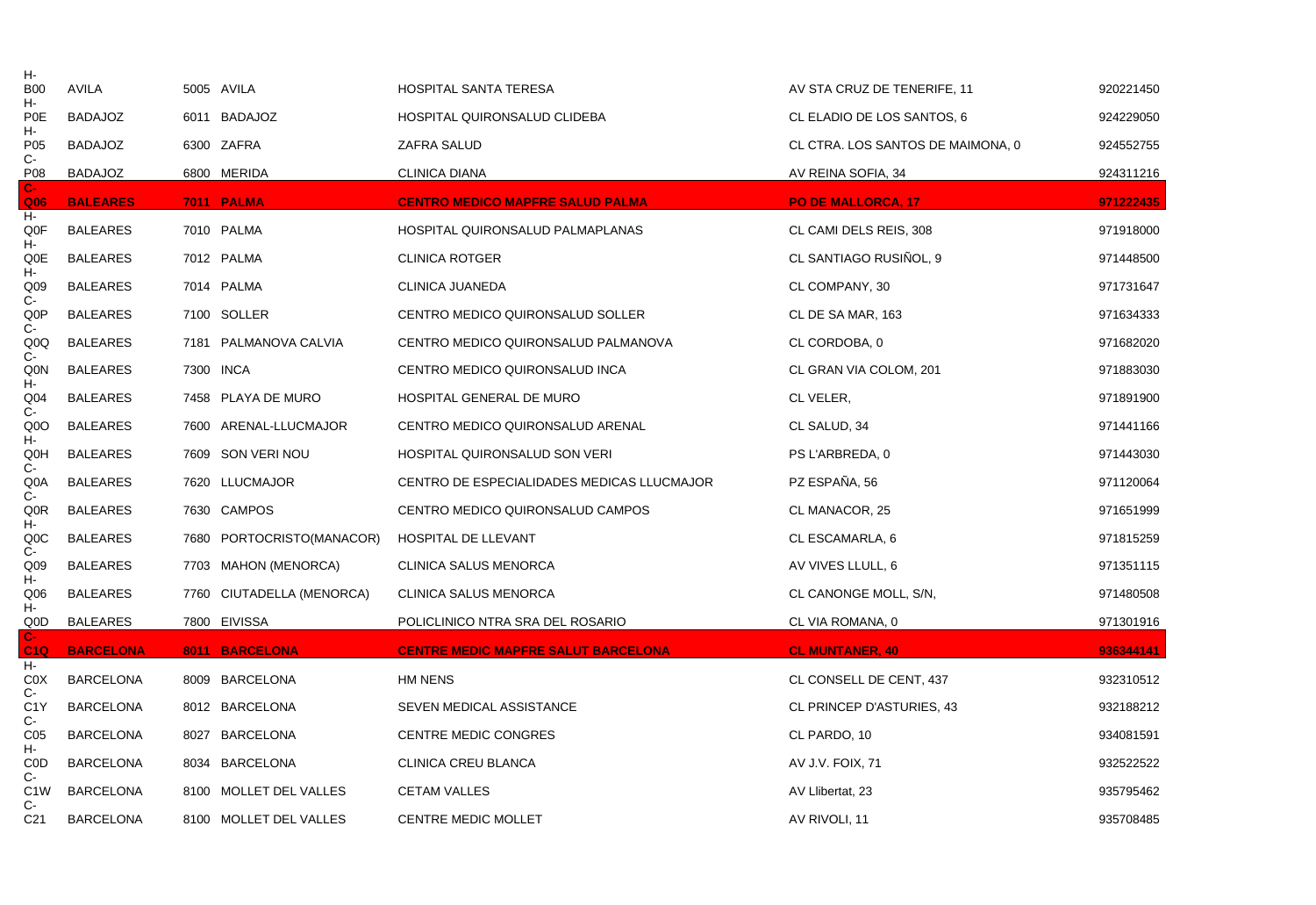| н-                             |                  |      |                           |                                            |                                   |           |
|--------------------------------|------------------|------|---------------------------|--------------------------------------------|-----------------------------------|-----------|
| <b>B00</b><br>н-               | <b>AVILA</b>     |      | 5005 AVILA                | <b>HOSPITAL SANTA TERESA</b>               | AV STA CRUZ DE TENERIFE, 11       | 920221450 |
| P <sub>0</sub> E<br>н-         | <b>BADAJOZ</b>   |      | 6011 BADAJOZ              | HOSPITAL QUIRONSALUD CLIDEBA               | CL ELADIO DE LOS SANTOS, 6        | 924229050 |
| P05<br>C-                      | <b>BADAJOZ</b>   |      | 6300 ZAFRA                | ZAFRA SALUD                                | CL CTRA. LOS SANTOS DE MAIMONA, 0 | 924552755 |
| P08                            | <b>BADAJOZ</b>   |      | 6800 MERIDA               | <b>CLINICA DIANA</b>                       | AV REINA SOFIA, 34                | 924311216 |
| С-<br>Q <sub>06</sub>          | <b>BALEARES</b>  |      | 7011 PALMA                | <b>CENTRO MEDICO MAPFRE SALUD PALMA</b>    | <b>PO DE MALLORCA, 17</b>         | 971222435 |
| н-<br>Q0F                      | <b>BALEARES</b>  |      | 7010 PALMA                | HOSPITAL QUIRONSALUD PALMAPLANAS           | CL CAMI DELS REIS, 308            | 971918000 |
| н-<br>Q0E                      | <b>BALEARES</b>  |      | 7012 PALMA                | <b>CLINICA ROTGER</b>                      | CL SANTIAGO RUSIÑOL, 9            | 971448500 |
| н-<br>Q <sub>09</sub>          | <b>BALEARES</b>  |      | 7014 PALMA                | CLINICA JUANEDA                            | CL COMPANY, 30                    | 971731647 |
| $C-$<br>Q0P<br>C-              | <b>BALEARES</b>  |      | 7100 SOLLER               | CENTRO MEDICO QUIRONSALUD SOLLER           | CL DE SA MAR, 163                 | 971634333 |
| Q <sub>0</sub> Q<br>$C -$      | <b>BALEARES</b>  |      | 7181 PALMANOVA CALVIA     | CENTRO MEDICO QUIRONSALUD PALMANOVA        | CL CORDOBA, 0                     | 971682020 |
| Q0N                            | <b>BALEARES</b>  |      | 7300 INCA                 | CENTRO MEDICO QUIRONSALUD INCA             | CL GRAN VIA COLOM, 201            | 971883030 |
| н-<br>Q <sub>04</sub><br>$C -$ | <b>BALEARES</b>  |      | 7458 PLAYA DE MURO        | HOSPITAL GENERAL DE MURO                   | CL VELER,                         | 971891900 |
| Q <sub>0</sub> O               | <b>BALEARES</b>  |      | 7600 ARENAL-LLUCMAJOR     | CENTRO MEDICO QUIRONSALUD ARENAL           | CL SALUD, 34                      | 971441166 |
| н.<br>Q0H<br>$C-$              | <b>BALEARES</b>  |      | 7609 SON VERI NOU         | HOSPITAL QUIRONSALUD SON VERI              | PS L'ARBREDA, 0                   | 971443030 |
| Q <sub>0</sub> A               | <b>BALEARES</b>  |      | 7620 LLUCMAJOR            | CENTRO DE ESPECIALIDADES MEDICAS LLUCMAJOR | PZ ESPAÑA, 56                     | 971120064 |
| C-<br>Q0R                      | <b>BALEARES</b>  |      | 7630 CAMPOS               | CENTRO MEDICO QUIRONSALUD CAMPOS           | CL MANACOR, 25                    | 971651999 |
| н-<br>QOC<br>C-                | <b>BALEARES</b>  | 7680 | PORTOCRISTO(MANACOR)      | HOSPITAL DE LLEVANT                        | CL ESCAMARLA, 6                   | 971815259 |
| Q <sub>09</sub><br>н-          | <b>BALEARES</b>  |      | 7703 MAHON (MENORCA)      | <b>CLINICA SALUS MENORCA</b>               | AV VIVES LLULL, 6                 | 971351115 |
| Q06<br>н-                      | <b>BALEARES</b>  |      | 7760 CIUTADELLA (MENORCA) | CLINICA SALUS MENORCA                      | CL CANONGE MOLL, S/N,             | 971480508 |
| Q0D                            | <b>BALEARES</b>  |      | 7800 EIVISSA              | POLICLINICO NTRA SRA DEL ROSARIO           | CL VIA ROMANA, 0                  | 971301916 |
| $C-$<br>C1Q                    | <b>BARCELONA</b> |      | 8011 BARCELONA            | <b>CENTRE MEDIC MAPFRE SALUT BARCELONA</b> | <b>CL MUNTANER, 40</b>            | 936344141 |
| н-<br>C <sub>0</sub> X         | <b>BARCELONA</b> |      | 8009 BARCELONA            | HM NENS                                    | CL CONSELL DE CENT, 437           | 932310512 |
| C-<br>C <sub>1</sub> Y         | <b>BARCELONA</b> |      | 8012 BARCELONA            | SEVEN MEDICAL ASSISTANCE                   | CL PRINCEP D'ASTURIES, 43         | 932188212 |
| $C-$<br>C <sub>05</sub>        | <b>BARCELONA</b> | 8027 | <b>BARCELONA</b>          | <b>CENTRE MEDIC CONGRES</b>                | CL PARDO, 10                      | 934081591 |
| н-<br><b>COD</b>               | <b>BARCELONA</b> |      | 8034 BARCELONA            | CLINICA CREU BLANCA                        | AV J.V. FOIX, 71                  | 932522522 |
| $C-$<br>C <sub>1</sub> W       | <b>BARCELONA</b> |      | 8100 MOLLET DEL VALLES    | <b>CETAM VALLES</b>                        | AV Llibertat, 23                  | 935795462 |
| C-<br>C <sub>21</sub>          | <b>BARCELONA</b> |      | 8100 MOLLET DEL VALLES    | <b>CENTRE MEDIC MOLLET</b>                 | AV RIVOLI, 11                     | 935708485 |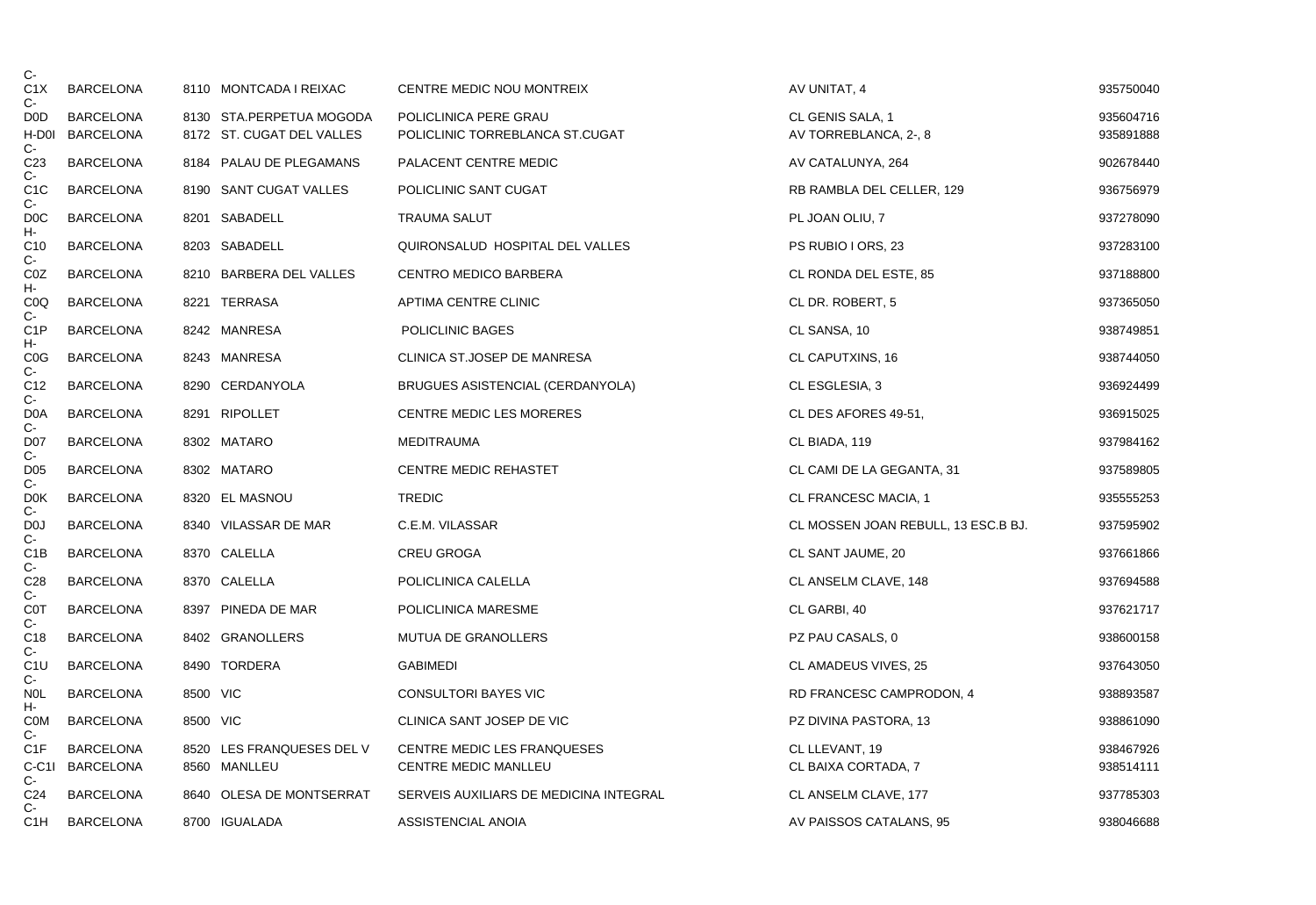| C-                                |                  |          |                           |                                        |                                     |           |
|-----------------------------------|------------------|----------|---------------------------|----------------------------------------|-------------------------------------|-----------|
| C1X<br>$C-$                       | BARCELONA        |          | 8110 MONTCADA I REIXAC    | CENTRE MEDIC NOU MONTREIX              | AV UNITAT, 4                        | 935750040 |
| D <sub>0</sub> D                  | <b>BARCELONA</b> |          | 8130 STA.PERPETUA MOGODA  | POLICLINICA PERE GRAU                  | CL GENIS SALA, 1                    | 935604716 |
| H-D0I                             | <b>BARCELONA</b> |          | 8172 ST. CUGAT DEL VALLES | POLICLINIC TORREBLANCA ST.CUGAT        | AV TORREBLANCA, 2-, 8               | 935891888 |
| $C -$<br>C <sub>23</sub><br>$C -$ | <b>BARCELONA</b> |          | 8184 PALAU DE PLEGAMANS   | PALACENT CENTRE MEDIC                  | AV CATALUNYA, 264                   | 902678440 |
| C <sub>1</sub> C<br>$C -$         | <b>BARCELONA</b> |          | 8190 SANT CUGAT VALLES    | POLICLINIC SANT CUGAT                  | RB RAMBLA DEL CELLER, 129           | 936756979 |
| D <sub>0</sub> C<br>н-            | <b>BARCELONA</b> |          | 8201 SABADELL             | <b>TRAUMA SALUT</b>                    | PL JOAN OLIU, 7                     | 937278090 |
| C <sub>10</sub><br>$C -$          | <b>BARCELONA</b> |          | 8203 SABADELL             | QUIRONSALUD HOSPITAL DEL VALLES        | PS RUBIO I ORS, 23                  | 937283100 |
| C <sub>0</sub> Z<br>н-            | <b>BARCELONA</b> |          | 8210 BARBERA DEL VALLES   | CENTRO MEDICO BARBERA                  | CL RONDA DEL ESTE, 85               | 937188800 |
| C <sub>0</sub> Q<br>C-            | <b>BARCELONA</b> |          | 8221 TERRASA              | APTIMA CENTRE CLINIC                   | CL DR. ROBERT, 5                    | 937365050 |
| C <sub>1</sub> P<br>н-            | <b>BARCELONA</b> |          | 8242 MANRESA              | POLICLINIC BAGES                       | CL SANSA, 10                        | 938749851 |
| C <sub>0</sub> G<br>$C -$         | <b>BARCELONA</b> |          | 8243 MANRESA              | CLINICA ST.JOSEP DE MANRESA            | CL CAPUTXINS, 16                    | 938744050 |
| C12<br>C-                         | <b>BARCELONA</b> |          | 8290 CERDANYOLA           | BRUGUES ASISTENCIAL (CERDANYOLA)       | CL ESGLESIA, 3                      | 936924499 |
| D <sub>0</sub> A<br>$C-$          | <b>BARCELONA</b> |          | 8291 RIPOLLET             | <b>CENTRE MEDIC LES MORERES</b>        | CL DES AFORES 49-51,                | 936915025 |
| D <sub>0</sub> 7<br>$C -$         | <b>BARCELONA</b> |          | 8302 MATARO               | <b>MEDITRAUMA</b>                      | CL BIADA, 119                       | 937984162 |
| D <sub>05</sub><br>$C-$           | <b>BARCELONA</b> |          | 8302 MATARO               | <b>CENTRE MEDIC REHASTET</b>           | CL CAMI DE LA GEGANTA, 31           | 937589805 |
| D <sub>0</sub> K<br>C-            | <b>BARCELONA</b> |          | 8320 EL MASNOU            | <b>TREDIC</b>                          | CL FRANCESC MACIA, 1                | 935555253 |
| D <sub>0</sub><br>$C -$           | <b>BARCELONA</b> |          | 8340 VILASSAR DE MAR      | C.E.M. VILASSAR                        | CL MOSSEN JOAN REBULL, 13 ESC.B BJ. | 937595902 |
| C1B<br>$C-$                       | <b>BARCELONA</b> |          | 8370 CALELLA              | <b>CREU GROGA</b>                      | CL SANT JAUME, 20                   | 937661866 |
| C <sub>28</sub><br>C-             | <b>BARCELONA</b> |          | 8370 CALELLA              | POLICLINICA CALELLA                    | CL ANSELM CLAVE, 148                | 937694588 |
| <b>COT</b><br>$C -$               | <b>BARCELONA</b> |          | 8397 PINEDA DE MAR        | POLICLINICA MARESME                    | CL GARBI, 40                        | 937621717 |
| C18<br>$C-$                       | <b>BARCELONA</b> |          | 8402 GRANOLLERS           | <b>MUTUA DE GRANOLLERS</b>             | PZ PAU CASALS, 0                    | 938600158 |
| C1U<br>$C -$                      | BARCELONA        |          | 8490 TORDERA              | <b>GABIMEDI</b>                        | CL AMADEUS VIVES, 25                | 937643050 |
| <b>NOL</b><br>н-                  | <b>BARCELONA</b> | 8500 VIC |                           | <b>CONSULTORI BAYES VIC</b>            | RD FRANCESC CAMPRODON, 4            | 938893587 |
| <b>COM</b><br>$C -$               | <b>BARCELONA</b> | 8500 VIC |                           | CLINICA SANT JOSEP DE VIC              | PZ DIVINA PASTORA, 13               | 938861090 |
| C <sub>1</sub> F                  | <b>BARCELONA</b> |          | 8520 LES FRANQUESES DEL V | CENTRE MEDIC LES FRANQUESES            | CL LLEVANT, 19                      | 938467926 |
|                                   | C-C1I BARCELONA  |          | 8560 MANLLEU              | CENTRE MEDIC MANLLEU                   | CL BAIXA CORTADA, 7                 | 938514111 |
| $C -$<br>C <sub>24</sub>          | <b>BARCELONA</b> |          | 8640 OLESA DE MONTSERRAT  | SERVEIS AUXILIARS DE MEDICINA INTEGRAL | CL ANSELM CLAVE, 177                | 937785303 |
| $C-$<br>C <sub>1</sub> H          | <b>BARCELONA</b> |          | 8700 IGUALADA             | ASSISTENCIAL ANOIA                     | AV PAISSOS CATALANS, 95             | 938046688 |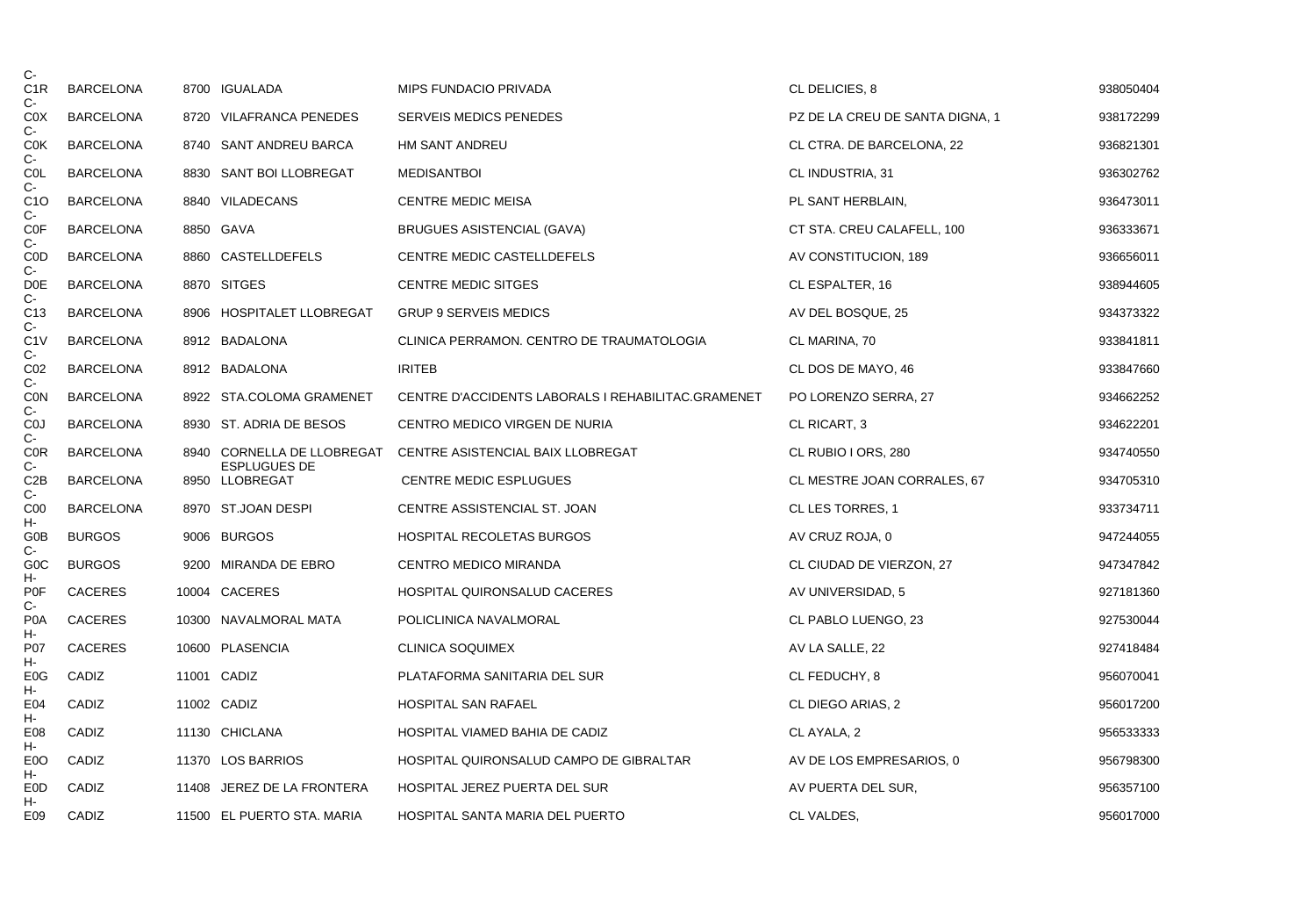| $C -$                           |                  |                                       |                                                    |                                 |           |
|---------------------------------|------------------|---------------------------------------|----------------------------------------------------|---------------------------------|-----------|
| C <sub>1</sub> R<br>C-          | <b>BARCELONA</b> | 8700 IGUALADA                         | MIPS FUNDACIO PRIVADA                              | CL DELICIES, 8                  | 938050404 |
| C <sub>0</sub> X<br>$C -$       | <b>BARCELONA</b> | 8720 VILAFRANCA PENEDES               | <b>SERVEIS MEDICS PENEDES</b>                      | PZ DE LA CREU DE SANTA DIGNA, 1 | 938172299 |
| <b>COK</b><br>$C-$              | <b>BARCELONA</b> | 8740 SANT ANDREU BARCA                | <b>HM SANT ANDREU</b>                              | CL CTRA. DE BARCELONA, 22       | 936821301 |
| COL<br>$C-$                     | <b>BARCELONA</b> | 8830 SANT BOI LLOBREGAT               | <b>MEDISANTBOI</b>                                 | CL INDUSTRIA, 31                | 936302762 |
| C1O<br>C-                       | BARCELONA        | 8840 VILADECANS                       | <b>CENTRE MEDIC MEISA</b>                          | PL SANT HERBLAIN,               | 936473011 |
| COF<br>$C-$                     | <b>BARCELONA</b> | 8850 GAVA                             | <b>BRUGUES ASISTENCIAL (GAVA)</b>                  | CT STA. CREU CALAFELL, 100      | 936333671 |
| <b>COD</b>                      | <b>BARCELONA</b> | 8860 CASTELLDEFELS                    | CENTRE MEDIC CASTELLDEFELS                         | AV CONSTITUCION, 189            | 936656011 |
| C-<br>D <sub>0</sub> E<br>$C -$ | <b>BARCELONA</b> | 8870 SITGES                           | <b>CENTRE MEDIC SITGES</b>                         | CL ESPALTER, 16                 | 938944605 |
| C <sub>13</sub>                 | <b>BARCELONA</b> | 8906 HOSPITALET LLOBREGAT             | <b>GRUP 9 SERVEIS MEDICS</b>                       | AV DEL BOSQUE, 25               | 934373322 |
| C-<br>C1V                       | <b>BARCELONA</b> | 8912 BADALONA                         | CLINICA PERRAMON. CENTRO DE TRAUMATOLOGIA          | CL MARINA, 70                   | 933841811 |
| C-<br>CO <sub>2</sub>           | <b>BARCELONA</b> | 8912 BADALONA                         | <b>IRITEB</b>                                      | CL DOS DE MAYO, 46              | 933847660 |
| $C-$<br><b>CON</b>              | <b>BARCELONA</b> | 8922 STA.COLOMA GRAMENET              | CENTRE D'ACCIDENTS LABORALS I REHABILITAC.GRAMENET | PO LORENZO SERRA, 27            | 934662252 |
| $C-$<br>C <sub>0</sub>          | <b>BARCELONA</b> | 8930 ST. ADRIA DE BESOS               | CENTRO MEDICO VIRGEN DE NURIA                      | CL RICART, 3                    | 934622201 |
| $C-$<br><b>COR</b>              | <b>BARCELONA</b> | 8940 CORNELLA DE LLOBREGAT            | CENTRE ASISTENCIAL BAIX LLOBREGAT                  | CL RUBIO I ORS, 280             | 934740550 |
| $C -$<br>C2B<br>$C -$           | <b>BARCELONA</b> | <b>ESPLUGUES DE</b><br>8950 LLOBREGAT | CENTRE MEDIC ESPLUGUES                             | CL MESTRE JOAN CORRALES, 67     | 934705310 |
| C <sub>00</sub>                 | <b>BARCELONA</b> | 8970 ST.JOAN DESPI                    | CENTRE ASSISTENCIAL ST. JOAN                       | CL LES TORRES, 1                | 933734711 |
| н-<br>G0B                       | <b>BURGOS</b>    | 9006 BURGOS                           | HOSPITAL RECOLETAS BURGOS                          | AV CRUZ ROJA, 0                 | 947244055 |
| $C -$<br>G <sub>0</sub> C       | <b>BURGOS</b>    | 9200 MIRANDA DE EBRO                  | <b>CENTRO MEDICO MIRANDA</b>                       | CL CIUDAD DE VIERZON, 27        | 947347842 |
| н-<br><b>P0F</b>                | <b>CACERES</b>   | 10004 CACERES                         | HOSPITAL QUIRONSALUD CACERES                       | AV UNIVERSIDAD, 5               | 927181360 |
| C-<br>P <sub>0</sub> A          | <b>CACERES</b>   | 10300 NAVALMORAL MATA                 | POLICLINICA NAVALMORAL                             | CL PABLO LUENGO, 23             | 927530044 |
| н-<br>P07                       | <b>CACERES</b>   | 10600 PLASENCIA                       | <b>CLINICA SOQUIMEX</b>                            | AV LA SALLE, 22                 | 927418484 |
| н-<br>E <sub>0</sub> G          | CADIZ            | 11001 CADIZ                           | PLATAFORMA SANITARIA DEL SUR                       | CL FEDUCHY, 8                   | 956070041 |
| н-<br>E04                       | CADIZ            | 11002 CADIZ                           | <b>HOSPITAL SAN RAFAEL</b>                         | CL DIEGO ARIAS, 2               | 956017200 |
| н-<br>E <sub>08</sub>           | CADIZ            | 11130 CHICLANA                        | HOSPITAL VIAMED BAHIA DE CADIZ                     | CL AYALA, 2                     | 956533333 |
| н-<br>E <sub>0</sub> O          | CADIZ            | 11370 LOS BARRIOS                     | HOSPITAL QUIRONSALUD CAMPO DE GIBRALTAR            | AV DE LOS EMPRESARIOS, 0        | 956798300 |
| н-<br>E0D                       | CADIZ            | 11408 JEREZ DE LA FRONTERA            | HOSPITAL JEREZ PUERTA DEL SUR                      | AV PUERTA DEL SUR,              | 956357100 |
| н-<br>E09                       | CADIZ            | 11500 EL PUERTO STA. MARIA            | HOSPITAL SANTA MARIA DEL PUERTO                    | CL VALDES,                      | 956017000 |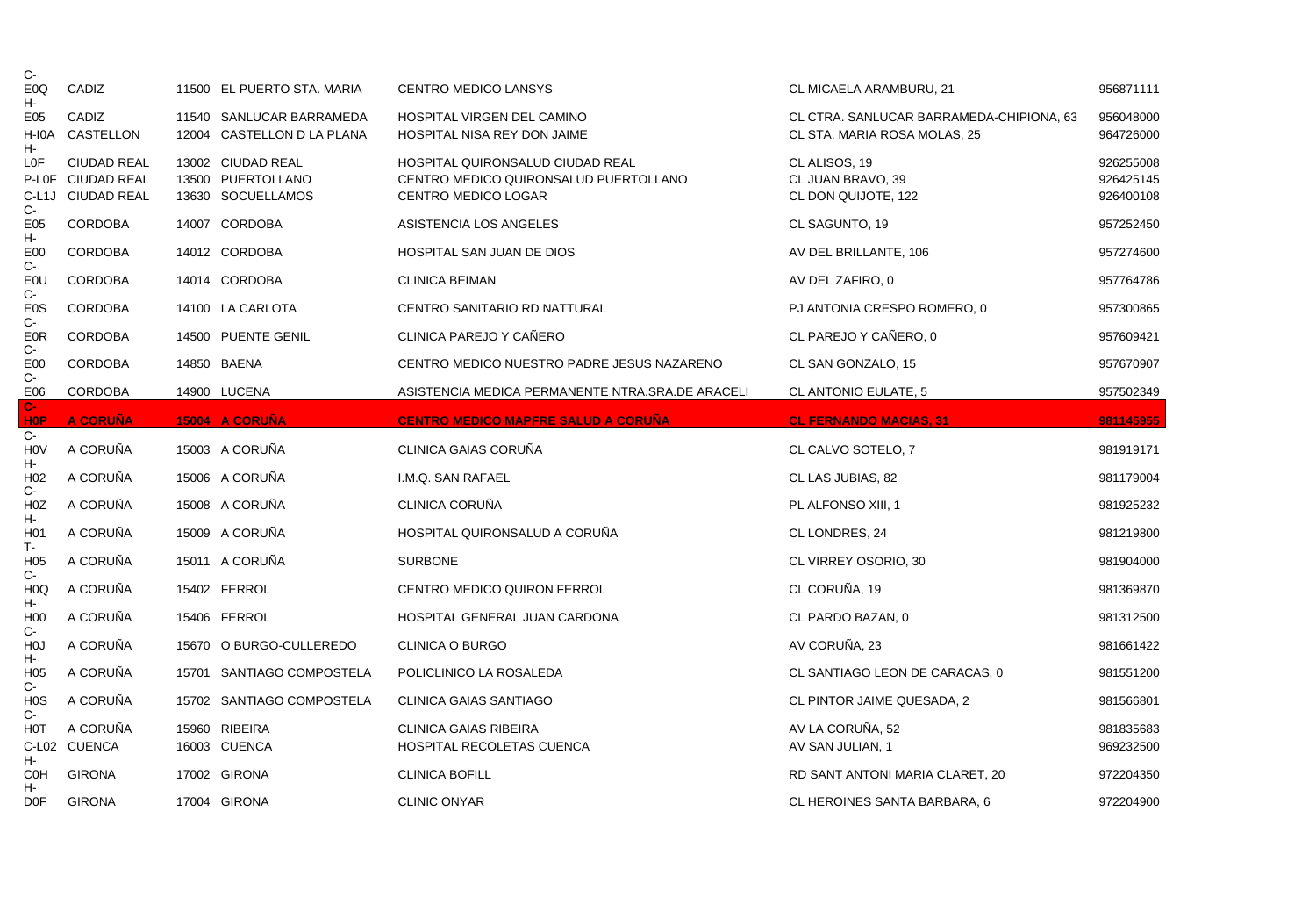| C-                        |                    |                                                        |                                                           |                                                                          |                        |
|---------------------------|--------------------|--------------------------------------------------------|-----------------------------------------------------------|--------------------------------------------------------------------------|------------------------|
| E <sub>0</sub> Q<br>н-    | CADIZ              | 11500 EL PUERTO STA. MARIA                             | <b>CENTRO MEDICO LANSYS</b>                               | CL MICAELA ARAMBURU, 21                                                  | 956871111              |
| E <sub>05</sub><br>H-I0A  | CADIZ<br>CASTELLON | 11540 SANLUCAR BARRAMEDA<br>12004 CASTELLON D LA PLANA | HOSPITAL VIRGEN DEL CAMINO<br>HOSPITAL NISA REY DON JAIME | CL CTRA. SANLUCAR BARRAMEDA-CHIPIONA, 63<br>CL STA. MARIA ROSA MOLAS, 25 | 956048000<br>964726000 |
| н-<br>LOF                 | <b>CIUDAD REAL</b> | 13002 CIUDAD REAL                                      | HOSPITAL QUIRONSALUD CIUDAD REAL                          | CL ALISOS, 19                                                            | 926255008              |
|                           | P-L0F CIUDAD REAL  | 13500 PUERTOLLANO                                      | CENTRO MEDICO QUIRONSALUD PUERTOLLANO                     | CL JUAN BRAVO, 39                                                        | 926425145              |
| $C -$                     | C-L1J CIUDAD REAL  | 13630 SOCUELLAMOS                                      | CENTRO MEDICO LOGAR                                       | CL DON QUIJOTE, 122                                                      | 926400108              |
| E05<br>н-                 | <b>CORDOBA</b>     | 14007 CORDOBA                                          | ASISTENCIA LOS ANGELES                                    | CL SAGUNTO, 19                                                           | 957252450              |
| E <sub>00</sub><br>$C-$   | <b>CORDOBA</b>     | 14012 CORDOBA                                          | HOSPITAL SAN JUAN DE DIOS                                 | AV DEL BRILLANTE, 106                                                    | 957274600              |
| <b>EOU</b><br>$C -$       | <b>CORDOBA</b>     | 14014 CORDOBA                                          | <b>CLINICA BEIMAN</b>                                     | AV DEL ZAFIRO, 0                                                         | 957764786              |
| E <sub>0</sub> S<br>C-    | <b>CORDOBA</b>     | 14100 LA CARLOTA                                       | <b>CENTRO SANITARIO RD NATTURAL</b>                       | PJ ANTONIA CRESPO ROMERO, 0                                              | 957300865              |
| <b>E0R</b><br>$C -$       | <b>CORDOBA</b>     | 14500 PUENTE GENIL                                     | CLINICA PAREJO Y CAÑERO                                   | CL PAREJO Y CAÑERO, 0                                                    | 957609421              |
| E00                       | <b>CORDOBA</b>     | 14850 BAENA                                            | CENTRO MEDICO NUESTRO PADRE JESUS NAZARENO                | CL SAN GONZALO, 15                                                       | 957670907              |
| $C -$<br>E06              | CORDOBA            | 14900 LUCENA                                           | ASISTENCIA MEDICA PERMANENTE NTRA.SRA.DE ARACELI          | CL ANTONIO EULATE, 5                                                     | 957502349              |
| $C-$<br><b>HOP</b>        | <b>A CORUÑA</b>    | 15004 A CORUÑA                                         | <b>CENTRO MEDICO MAPFRE SALUD A CORUÑA</b>                | <b>CL FERNANDO MACIAS, 31</b>                                            | 981145955              |
|                           |                    |                                                        |                                                           |                                                                          |                        |
| $C -$<br><b>HOV</b>       | A CORUÑA           | 15003 A CORUÑA                                         | CLINICA GAIAS CORUÑA                                      | CL CALVO SOTELO, 7                                                       | 981919171              |
| н-<br>H <sub>02</sub>     | A CORUÑA           | 15006 A CORUÑA                                         | I.M.Q. SAN RAFAEL                                         | CL LAS JUBIAS, 82                                                        | 981179004              |
| C-<br>H <sub>0</sub> Z    | A CORUÑA           | 15008 A CORUÑA                                         | <b>CLINICA CORUÑA</b>                                     | PL ALFONSO XIII, 1                                                       | 981925232              |
| н-<br>H <sub>0</sub> 1    | A CORUÑA           | 15009 A CORUÑA                                         | HOSPITAL QUIRONSALUD A CORUÑA                             | CL LONDRES, 24                                                           | 981219800              |
| T-<br>H <sub>05</sub>     | A CORUÑA           | 15011 A CORUÑA                                         | <b>SURBONE</b>                                            | CL VIRREY OSORIO, 30                                                     | 981904000              |
| $C-$<br>H <sub>0</sub> Q  | A CORUÑA           | 15402 FERROL                                           | <b>CENTRO MEDICO QUIRON FERROL</b>                        | CL CORUÑA, 19                                                            | 981369870              |
| н-<br>H <sub>0</sub>      | A CORUÑA           | 15406 FERROL                                           | HOSPITAL GENERAL JUAN CARDONA                             | CL PARDO BAZAN, 0                                                        | 981312500              |
| $C-$<br>H <sub>0</sub>    | A CORUÑA           | 15670 O BURGO-CULLEREDO                                | <b>CLINICA O BURGO</b>                                    | AV CORUÑA, 23                                                            | 981661422              |
| н-<br>H <sub>05</sub>     | A CORUÑA           | 15701 SANTIAGO COMPOSTELA                              | POLICLINICO LA ROSALEDA                                   | CL SANTIAGO LEON DE CARACAS, 0                                           | 981551200              |
| $C -$<br>H <sub>0</sub> S | A CORUÑA           | 15702 SANTIAGO COMPOSTELA                              | <b>CLINICA GAIAS SANTIAGO</b>                             | CL PINTOR JAIME QUESADA, 2                                               | 981566801              |
| C-<br>HOT                 | A CORUÑA           | 15960 RIBEIRA                                          | <b>CLINICA GAIAS RIBEIRA</b>                              | AV LA CORUÑA, 52                                                         | 981835683              |
|                           | C-L02 CUENCA       | 16003 CUENCA                                           | HOSPITAL RECOLETAS CUENCA                                 | AV SAN JULIAN, 1                                                         | 969232500              |
| н-<br><b>COH</b><br>н-    | <b>GIRONA</b>      | 17002 GIRONA                                           | <b>CLINICA BOFILL</b>                                     | RD SANT ANTONI MARIA CLARET, 20                                          | 972204350              |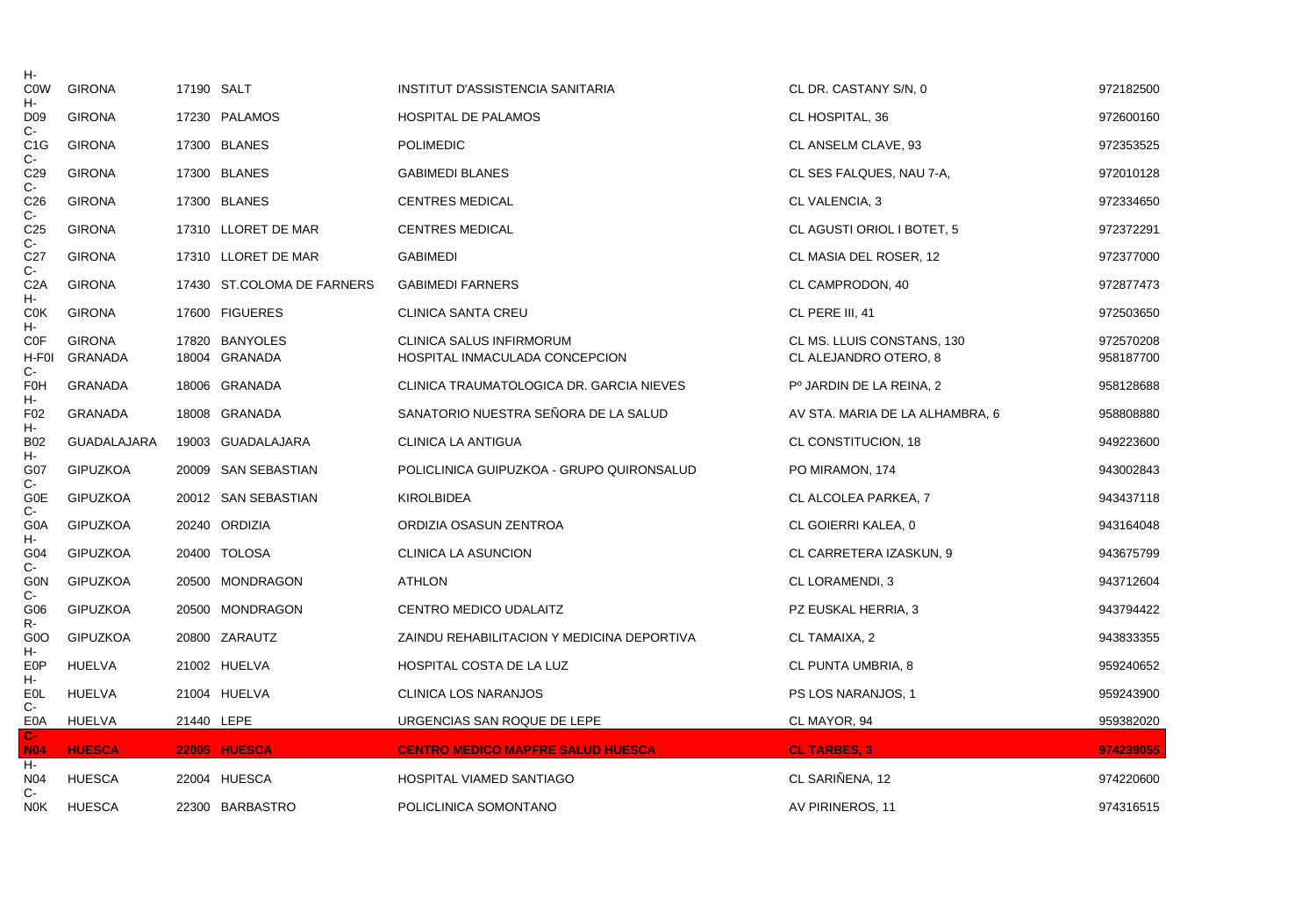| н-                                |                    |            |                            |                                            |                                      |           |
|-----------------------------------|--------------------|------------|----------------------------|--------------------------------------------|--------------------------------------|-----------|
| <b>COW</b><br>н-                  | <b>GIRONA</b>      | 17190 SALT |                            | INSTITUT D'ASSISTENCIA SANITARIA           | CL DR. CASTANY S/N, 0                | 972182500 |
| D <sub>09</sub><br>$C -$          | <b>GIRONA</b>      |            | 17230 PALAMOS              | <b>HOSPITAL DE PALAMOS</b>                 | CL HOSPITAL, 36                      | 972600160 |
| C <sub>1</sub> G                  | <b>GIRONA</b>      |            | 17300 BLANES               | <b>POLIMEDIC</b>                           | CL ANSELM CLAVE, 93                  | 972353525 |
| $C -$<br>C <sub>29</sub><br>$C -$ | <b>GIRONA</b>      |            | 17300 BLANES               | <b>GABIMEDI BLANES</b>                     | CL SES FALQUES, NAU 7-A,             | 972010128 |
| C <sub>26</sub>                   | <b>GIRONA</b>      |            | 17300 BLANES               | <b>CENTRES MEDICAL</b>                     | CL VALENCIA, 3                       | 972334650 |
| $C -$<br>C <sub>25</sub>          | <b>GIRONA</b>      |            | 17310 LLORET DE MAR        | <b>CENTRES MEDICAL</b>                     | CL AGUSTI ORIOL I BOTET, 5           | 972372291 |
| C-<br>C <sub>27</sub>             | <b>GIRONA</b>      |            | 17310 LLORET DE MAR        | <b>GABIMEDI</b>                            | CL MASIA DEL ROSER, 12               | 972377000 |
| $C -$<br>C <sub>2</sub> A         | <b>GIRONA</b>      |            | 17430 ST.COLOMA DE FARNERS | <b>GABIMEDI FARNERS</b>                    | CL CAMPRODON, 40                     | 972877473 |
| н-<br>C <sub>0</sub> K            | <b>GIRONA</b>      |            | 17600 FIGUERES             | <b>CLINICA SANTA CREU</b>                  | CL PERE III, 41                      | 972503650 |
| н-<br><b>COF</b>                  | <b>GIRONA</b>      |            | 17820 BANYOLES             | <b>CLINICA SALUS INFIRMORUM</b>            | CL MS. LLUIS CONSTANS, 130           | 972570208 |
| H-F0I<br>$C -$                    | GRANADA            |            | 18004 GRANADA              | HOSPITAL INMACULADA CONCEPCION             | CL ALEJANDRO OTERO, 8                | 958187700 |
| <b>F0H</b><br>н-                  | GRANADA            |            | 18006 GRANADA              | CLINICA TRAUMATOLOGICA DR. GARCIA NIEVES   | P <sup>o</sup> JARDIN DE LA REINA, 2 | 958128688 |
| F <sub>02</sub><br>н-             | <b>GRANADA</b>     |            | 18008 GRANADA              | SANATORIO NUESTRA SEÑORA DE LA SALUD       | AV STA. MARIA DE LA ALHAMBRA, 6      | 958808880 |
| <b>B02</b>                        | <b>GUADALAJARA</b> |            | 19003 GUADALAJARA          | CLINICA LA ANTIGUA                         | CL CONSTITUCION, 18                  | 949223600 |
| н.<br>G07                         | <b>GIPUZKOA</b>    |            | 20009 SAN SEBASTIAN        | POLICLINICA GUIPUZKOA - GRUPO QUIRONSALUD  | PO MIRAMON, 174                      | 943002843 |
| $C -$<br>G0E<br>C-                | <b>GIPUZKOA</b>    |            | 20012 SAN SEBASTIAN        | <b>KIROLBIDEA</b>                          | CL ALCOLEA PARKEA, 7                 | 943437118 |
| G <sub>0</sub> A                  | <b>GIPUZKOA</b>    |            | 20240 ORDIZIA              | ORDIZIA OSASUN ZENTROA                     | CL GOIERRI KALEA, 0                  | 943164048 |
| н-<br>G04                         | <b>GIPUZKOA</b>    |            | 20400 TOLOSA               | <b>CLINICA LA ASUNCION</b>                 | CL CARRETERA IZASKUN, 9              | 943675799 |
| $C-$<br><b>GON</b>                | <b>GIPUZKOA</b>    |            | 20500 MONDRAGON            | <b>ATHLON</b>                              | CL LORAMENDI, 3                      | 943712604 |
| C-<br>G06                         | <b>GIPUZKOA</b>    |            | 20500 MONDRAGON            | CENTRO MEDICO UDALAITZ                     | PZ EUSKAL HERRIA, 3                  | 943794422 |
| R-<br>G <sub>0</sub> O            | <b>GIPUZKOA</b>    |            | 20800 ZARAUTZ              | ZAINDU REHABILITACION Y MEDICINA DEPORTIVA | CL TAMAIXA, 2                        | 943833355 |
| н-<br>E <sub>0</sub> P            | HUELVA             |            | 21002 HUELVA               | HOSPITAL COSTA DE LA LUZ                   | CL PUNTA UMBRIA, 8                   | 959240652 |
| н-<br>E <sub>0</sub> L            | HUELVA             |            | 21004 HUELVA               | <b>CLINICA LOS NARANJOS</b>                | PS LOS NARANJOS, 1                   | 959243900 |
| $C -$<br>E <sub>0</sub> A         | HUELVA             | 21440 LEPE |                            | URGENCIAS SAN ROQUE DE LEPE                | CL MAYOR, 94                         | 959382020 |
| $C-$<br><b>N04</b>                | <b>HUESCA</b>      |            | 22005 HUESCA               | <b>CENTRO MEDICO MAPFRE SALUD HUESCA</b>   | <b>CL TARBES. 3</b>                  | 974239055 |
| н-<br>N <sub>04</sub>             | <b>HUESCA</b>      |            | 22004 HUESCA               | HOSPITAL VIAMED SANTIAGO                   | CL SARIÑENA, 12                      | 974220600 |
| $C-$<br>N0K                       | HUESCA             |            | 22300 BARBASTRO            | POLICLINICA SOMONTANO                      | AV PIRINEROS, 11                     | 974316515 |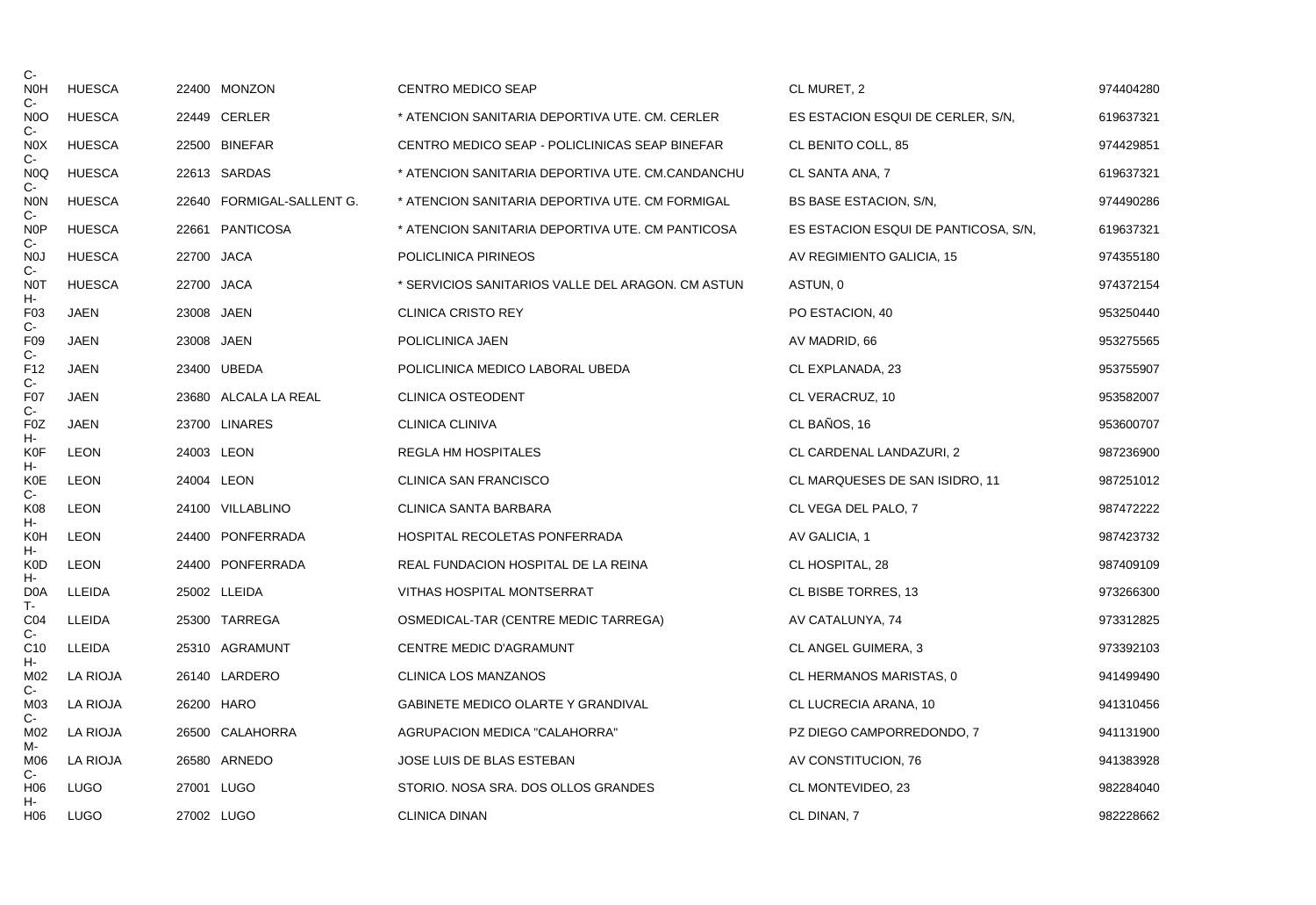| C-<br><b>NOH</b>          | <b>HUESCA</b> |            | 22400 MONZON              | <b>CENTRO MEDICO SEAP</b>                         | CL MURET, 2                          | 974404280 |
|---------------------------|---------------|------------|---------------------------|---------------------------------------------------|--------------------------------------|-----------|
| $C-$<br>N <sub>0</sub>    | <b>HUESCA</b> |            | 22449 CERLER              | * ATENCION SANITARIA DEPORTIVA UTE. CM. CERLER    | ES ESTACION ESQUI DE CERLER, S/N,    | 619637321 |
| $C -$<br>N <sub>0</sub> X | <b>HUESCA</b> |            | 22500 BINEFAR             | CENTRO MEDICO SEAP - POLICLINICAS SEAP BINEFAR    | CL BENITO COLL, 85                   | 974429851 |
| $C-$<br>N <sub>0</sub> Q  | <b>HUESCA</b> |            | 22613 SARDAS              | * ATENCION SANITARIA DEPORTIVA UTE. CM.CANDANCHU  | CL SANTA ANA, 7                      | 619637321 |
| $C-$<br><b>NON</b>        | <b>HUESCA</b> |            | 22640 FORMIGAL-SALLENT G. | * ATENCION SANITARIA DEPORTIVA UTE. CM FORMIGAL   | <b>BS BASE ESTACION, S/N,</b>        | 974490286 |
| $C-$<br>N <sub>O</sub> P  | <b>HUESCA</b> |            | 22661 PANTICOSA           | * ATENCION SANITARIA DEPORTIVA UTE. CM PANTICOSA  | ES ESTACION ESQUI DE PANTICOSA, S/N, | 619637321 |
| $C -$<br>N <sub>0</sub>   | <b>HUESCA</b> | 22700 JACA |                           | POLICLINICA PIRINEOS                              | AV REGIMIENTO GALICIA, 15            | 974355180 |
| $C-$<br>N0T               | <b>HUESCA</b> | 22700 JACA |                           | * SERVICIOS SANITARIOS VALLE DEL ARAGON. CM ASTUN | ASTUN, 0                             | 974372154 |
| н-<br>F <sub>03</sub>     | <b>JAEN</b>   | 23008 JAEN |                           | <b>CLINICA CRISTO REY</b>                         | PO ESTACION, 40                      | 953250440 |
| $C-$<br>F <sub>09</sub>   | JAEN          | 23008 JAEN |                           | POLICLINICA JAEN                                  | AV MADRID, 66                        | 953275565 |
| $C-$<br>F <sub>12</sub>   | JAEN          |            | 23400 UBEDA               | POLICLINICA MEDICO LABORAL UBEDA                  | CL EXPLANADA, 23                     | 953755907 |
| $C-$<br>F07               | JAEN          |            | 23680 ALCALA LA REAL      | CLINICA OSTEODENT                                 | CL VERACRUZ, 10                      | 953582007 |
| C-<br>F <sub>0</sub> Z    | <b>JAEN</b>   |            | 23700 LINARES             | <b>CLINICA CLINIVA</b>                            | CL BAÑOS, 16                         | 953600707 |
| н-<br>K0F                 | <b>LEON</b>   | 24003 LEON |                           | REGLA HM HOSPITALES                               | CL CARDENAL LANDAZURI, 2             | 987236900 |
| н-<br><b>K0E</b>          | <b>LEON</b>   | 24004 LEON |                           | <b>CLINICA SAN FRANCISCO</b>                      | CL MARQUESES DE SAN ISIDRO, 11       | 987251012 |
| $C-$<br>K08               | <b>LEON</b>   |            | 24100 VILLABLINO          | CLINICA SANTA BARBARA                             | CL VEGA DEL PALO, 7                  | 987472222 |
| н-<br><b>K0H</b>          | <b>LEON</b>   |            | 24400 PONFERRADA          | HOSPITAL RECOLETAS PONFERRADA                     | AV GALICIA, 1                        | 987423732 |
| н.<br>K0D                 | <b>LEON</b>   |            | 24400 PONFERRADA          | REAL FUNDACION HOSPITAL DE LA REINA               | CL HOSPITAL, 28                      | 987409109 |
| н-<br>D <sub>0</sub> A    | LLEIDA        |            | 25002 LLEIDA              | VITHAS HOSPITAL MONTSERRAT                        | CL BISBE TORRES, 13                  | 973266300 |
| T-<br>CO <sub>4</sub>     | LLEIDA        |            | 25300 TARREGA             | OSMEDICAL-TAR (CENTRE MEDIC TARREGA)              | AV CATALUNYA, 74                     | 973312825 |
| C-<br>C <sub>10</sub>     | LLEIDA        |            | 25310 AGRAMUNT            | <b>CENTRE MEDIC D'AGRAMUNT</b>                    | CL ANGEL GUIMERA, 3                  | 973392103 |
| н-<br>M02<br>C-           | LA RIOJA      |            | 26140 LARDERO             | <b>CLINICA LOS MANZANOS</b>                       | CL HERMANOS MARISTAS, 0              | 941499490 |
| M03<br>$C -$              | LA RIOJA      |            | 26200 HARO                | <b>GABINETE MEDICO OLARTE Y GRANDIVAL</b>         | CL LUCRECIA ARANA, 10                | 941310456 |
| M02                       | LA RIOJA      |            | 26500 CALAHORRA           | AGRUPACION MEDICA "CALAHORRA"                     | PZ DIEGO CAMPORREDONDO, 7            | 941131900 |
| M-<br>M06                 | LA RIOJA      |            | 26580 ARNEDO              | JOSE LUIS DE BLAS ESTEBAN                         | AV CONSTITUCION, 76                  | 941383928 |
| $C -$<br>H <sub>0</sub> 6 | <b>LUGO</b>   | 27001 LUGO |                           | STORIO. NOSA SRA. DOS OLLOS GRANDES               | CL MONTEVIDEO, 23                    | 982284040 |
| н-<br>H06                 | <b>LUGO</b>   | 27002 LUGO |                           | <b>CLINICA DINAN</b>                              | CL DINAN, 7                          | 982228662 |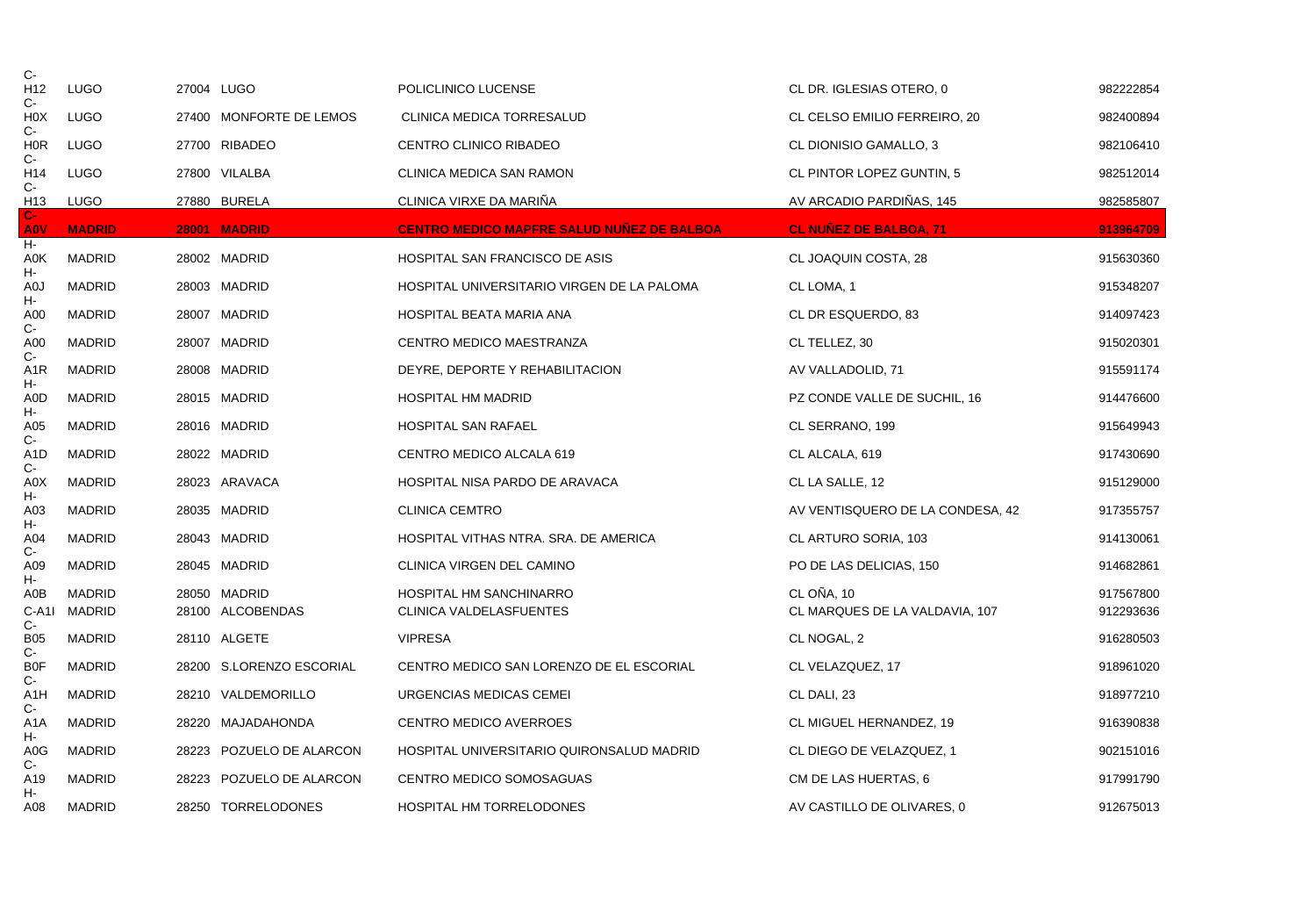| C-                           |               |                          |                                                   |                                  |           |
|------------------------------|---------------|--------------------------|---------------------------------------------------|----------------------------------|-----------|
| H <sub>12</sub><br>C-        | <b>LUGO</b>   | 27004 LUGO               | POLICLINICO LUCENSE                               | CL DR. IGLESIAS OTERO, 0         | 982222854 |
| H <sub>0</sub> X<br>C-       | <b>LUGO</b>   | 27400 MONFORTE DE LEMOS  | CLINICA MEDICA TORRESALUD                         | CL CELSO EMILIO FERREIRO, 20     | 982400894 |
| <b>HOR</b>                   | <b>LUGO</b>   | 27700 RIBADEO            | CENTRO CLINICO RIBADEO                            | CL DIONISIO GAMALLO, 3           | 982106410 |
| C-<br>H14                    | <b>LUGO</b>   | 27800 VILALBA            | CLINICA MEDICA SAN RAMON                          | CL PINTOR LOPEZ GUNTIN, 5        | 982512014 |
| $C-$<br>H <sub>13</sub>      | LUGO          | 27880 BURELA             | CLINICA VIRXE DA MARIÑA                           | AV ARCADIO PARDIÑAS, 145         | 982585807 |
| $\mathbf{C}$ -<br><b>AOV</b> | <b>MADRID</b> | 28001 MADRID             | <b>CENTRO MEDICO MAPFRE SALUD NUÑEZ DE BALBOA</b> | <b>CL NUÑEZ DE BALBOA, 71</b>    | 913964709 |
| н-<br>A0K                    | <b>MADRID</b> | 28002 MADRID             | <b>HOSPITAL SAN FRANCISCO DE ASIS</b>             | CL JOAQUIN COSTA, 28             | 915630360 |
| н-<br>A0J                    | <b>MADRID</b> | 28003 MADRID             | HOSPITAL UNIVERSITARIO VIRGEN DE LA PALOMA        | CL LOMA, 1                       | 915348207 |
| н-<br>A00                    | <b>MADRID</b> | 28007 MADRID             | HOSPITAL BEATA MARIA ANA                          | CL DR ESQUERDO, 83               | 914097423 |
| $C-$<br>A00                  | MADRID        | 28007 MADRID             | CENTRO MEDICO MAESTRANZA                          | CL TELLEZ, 30                    | 915020301 |
| $C -$<br>A <sub>1</sub> R    | MADRID        | 28008 MADRID             | DEYRE, DEPORTE Y REHABILITACION                   | AV VALLADOLID, 71                | 915591174 |
| н.<br>A0D                    | <b>MADRID</b> | 28015 MADRID             | <b>HOSPITAL HM MADRID</b>                         | PZ CONDE VALLE DE SUCHIL, 16     | 914476600 |
| н-<br>A05                    | <b>MADRID</b> | 28016 MADRID             | <b>HOSPITAL SAN RAFAEL</b>                        | CL SERRANO, 199                  | 915649943 |
| C-<br>A <sub>1</sub> D       | MADRID        | 28022 MADRID             | CENTRO MEDICO ALCALA 619                          | CL ALCALA, 619                   | 917430690 |
| C-<br>A0X                    | <b>MADRID</b> | 28023 ARAVACA            | HOSPITAL NISA PARDO DE ARAVACA                    | CL LA SALLE, 12                  | 915129000 |
| н-<br>A03                    | MADRID        | 28035 MADRID             | <b>CLINICA CEMTRO</b>                             | AV VENTISQUERO DE LA CONDESA, 42 | 917355757 |
| н-<br>A04                    | <b>MADRID</b> | 28043 MADRID             | HOSPITAL VITHAS NTRA. SRA. DE AMERICA             | CL ARTURO SORIA, 103             | 914130061 |
| C-<br>A09                    | <b>MADRID</b> | 28045 MADRID             | CLINICA VIRGEN DEL CAMINO                         | PO DE LAS DELICIAS, 150          | 914682861 |
| н-<br>A0B                    | <b>MADRID</b> | 28050 MADRID             | HOSPITAL HM SANCHINARRO                           | CL OÑA, 10                       | 917567800 |
| $C-A11$<br>C-                | <b>MADRID</b> | 28100 ALCOBENDAS         | CLINICA VALDELASFUENTES                           | CL MARQUES DE LA VALDAVIA, 107   | 912293636 |
| <b>B05</b><br>$C-$           | MADRID        | 28110 ALGETE             | <b>VIPRESA</b>                                    | CL NOGAL, 2                      | 916280503 |
| <b>B0F</b><br>C-             | <b>MADRID</b> | 28200 S.LORENZO ESCORIAL | CENTRO MEDICO SAN LORENZO DE EL ESCORIAL          | CL VELAZQUEZ, 17                 | 918961020 |
| A <sub>1</sub> H<br>C-       | <b>MADRID</b> | 28210 VALDEMORILLO       | URGENCIAS MEDICAS CEMEI                           | CL DALI, 23                      | 918977210 |
| A <sub>1</sub> A             | <b>MADRID</b> | 28220 MAJADAHONDA        | <b>CENTRO MEDICO AVERROES</b>                     | CL MIGUEL HERNANDEZ, 19          | 916390838 |
| н-<br>A0G                    | <b>MADRID</b> | 28223 POZUELO DE ALARCON | HOSPITAL UNIVERSITARIO QUIRONSALUD MADRID         | CL DIEGO DE VELAZQUEZ, 1         | 902151016 |
| C-<br>A19                    | <b>MADRID</b> | 28223 POZUELO DE ALARCON | CENTRO MEDICO SOMOSAGUAS                          | CM DE LAS HUERTAS, 6             | 917991790 |
| Н-<br>A08                    | <b>MADRID</b> | 28250 TORRELODONES       | HOSPITAL HM TORRELODONES                          | AV CASTILLO DE OLIVARES. 0       | 912675013 |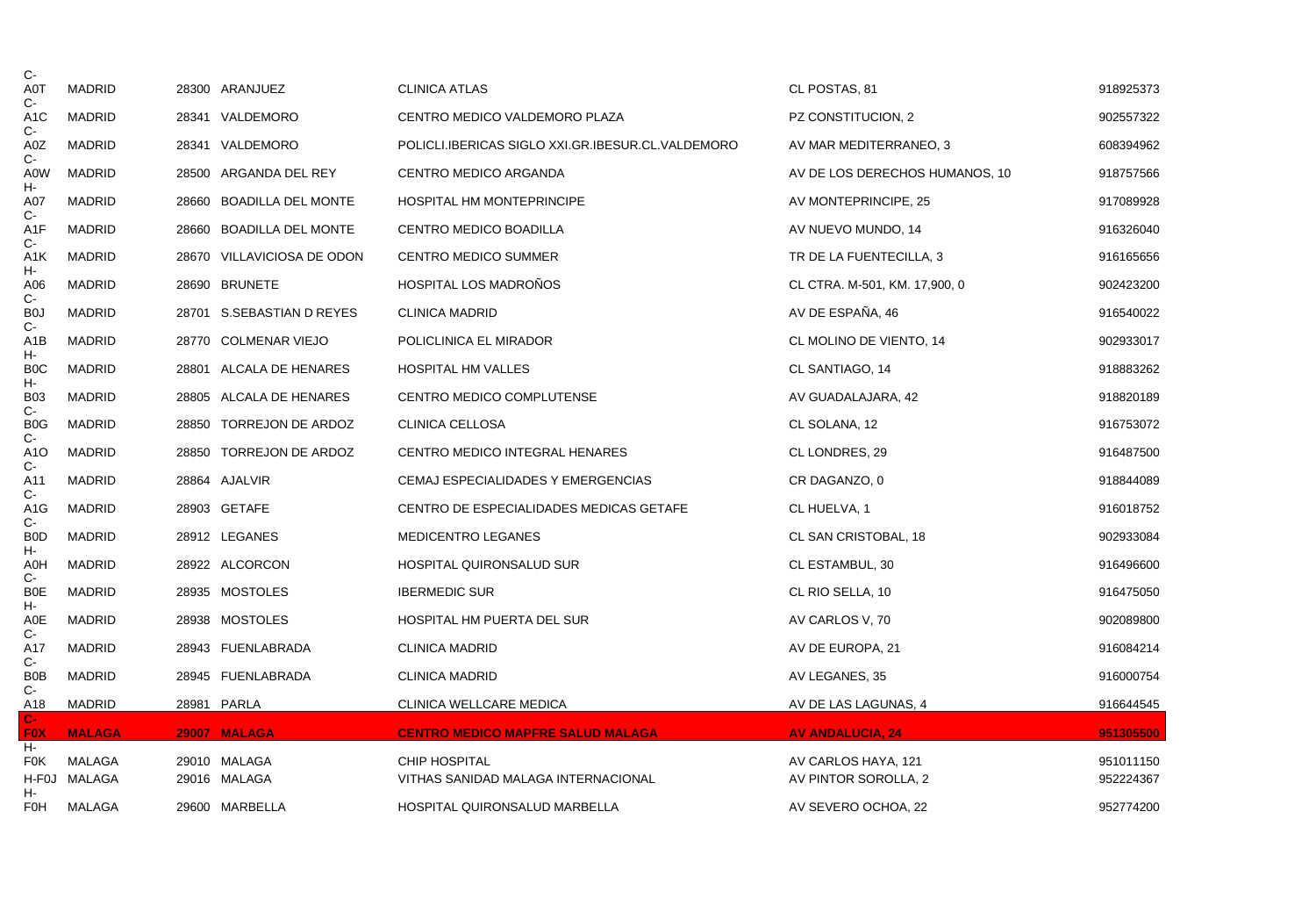| $C -$                     |               |       |                            |                                                   |                                |           |
|---------------------------|---------------|-------|----------------------------|---------------------------------------------------|--------------------------------|-----------|
| A0T<br>C-                 | MADRID        |       | 28300 ARANJUEZ             | <b>CLINICA ATLAS</b>                              | CL POSTAS, 81                  | 918925373 |
| A <sub>1</sub> C<br>$C -$ | <b>MADRID</b> |       | 28341 VALDEMORO            | CENTRO MEDICO VALDEMORO PLAZA                     | PZ CONSTITUCION, 2             | 902557322 |
| A0Z                       | <b>MADRID</b> |       | 28341 VALDEMORO            | POLICLI.IBERICAS SIGLO XXI.GR.IBESUR.CL.VALDEMORO | AV MAR MEDITERRANEO, 3         | 608394962 |
| $C -$<br>A0W              | MADRID        |       | 28500 ARGANDA DEL REY      | CENTRO MEDICO ARGANDA                             | AV DE LOS DERECHOS HUMANOS, 10 | 918757566 |
| н-<br>A07                 | <b>MADRID</b> |       | 28660 BOADILLA DEL MONTE   | <b>HOSPITAL HM MONTEPRINCIPE</b>                  | AV MONTEPRINCIPE, 25           | 917089928 |
| $C-$<br>A1F               | <b>MADRID</b> |       | 28660 BOADILLA DEL MONTE   | CENTRO MEDICO BOADILLA                            | AV NUEVO MUNDO, 14             | 916326040 |
| C-<br>A1K                 | MADRID        |       | 28670 VILLAVICIOSA DE ODON | <b>CENTRO MEDICO SUMMER</b>                       | TR DE LA FUENTECILLA, 3        | 916165656 |
| н-<br>A06                 | MADRID        |       | 28690 BRUNETE              | <b>HOSPITAL LOS MADRONOS</b>                      | CL CTRA. M-501, KM. 17,900, 0  | 902423200 |
| $C -$<br>B <sub>0</sub>   | <b>MADRID</b> |       | 28701 S.SEBASTIAN D REYES  | <b>CLINICA MADRID</b>                             | AV DE ESPAÑA, 46               | 916540022 |
| $C -$<br>A <sub>1</sub> B | <b>MADRID</b> |       | 28770 COLMENAR VIEJO       | POLICLINICA EL MIRADOR                            | CL MOLINO DE VIENTO, 14        | 902933017 |
| н-<br>B <sub>0</sub> C    | <b>MADRID</b> | 28801 | ALCALA DE HENARES          | <b>HOSPITAL HM VALLES</b>                         | CL SANTIAGO, 14                | 918883262 |
| н-<br><b>B03</b>          | <b>MADRID</b> |       | 28805 ALCALA DE HENARES    | CENTRO MEDICO COMPLUTENSE                         | AV GUADALAJARA, 42             | 918820189 |
| $C -$<br>B <sub>0</sub> G | MADRID        | 28850 | TORREJON DE ARDOZ          | CLINICA CELLOSA                                   | CL SOLANA, 12                  | 916753072 |
| C-<br>A <sub>1</sub> O    | MADRID        |       | 28850 TORREJON DE ARDOZ    | CENTRO MEDICO INTEGRAL HENARES                    | CL LONDRES, 29                 | 916487500 |
| $C -$<br>A11              | <b>MADRID</b> |       | 28864 AJALVIR              | CEMAJ ESPECIALIDADES Y EMERGENCIAS                | CR DAGANZO, 0                  | 918844089 |
| $C-$<br>A <sub>1</sub> G  | <b>MADRID</b> |       | 28903 GETAFE               | CENTRO DE ESPECIALIDADES MEDICAS GETAFE           | CL HUELVA, 1                   | 916018752 |
| C-<br>B <sub>0</sub>      | MADRID        |       | 28912 LEGANES              | <b>MEDICENTRO LEGANES</b>                         | CL SAN CRISTOBAL, 18           | 902933084 |
| н-<br>A0H                 | <b>MADRID</b> |       | 28922 ALCORCON             | HOSPITAL QUIRONSALUD SUR                          | CL ESTAMBUL, 30                | 916496600 |
| $C-$<br><b>B0E</b>        | <b>MADRID</b> |       | 28935 MOSTOLES             | <b>IBERMEDIC SUR</b>                              | CL RIO SELLA, 10               | 916475050 |
| н-<br>A0E                 | MADRID        |       | 28938 MOSTOLES             | HOSPITAL HM PUERTA DEL SUR                        | AV CARLOS V, 70                | 902089800 |
| C-<br>A17                 | <b>MADRID</b> |       | 28943 FUENLABRADA          | <b>CLINICA MADRID</b>                             | AV DE EUROPA, 21               | 916084214 |
| $C -$<br>B <sub>0</sub> B | <b>MADRID</b> |       | 28945 FUENLABRADA          | <b>CLINICA MADRID</b>                             | AV LEGANES, 35                 | 916000754 |
| $C -$<br>A18              | MADRID        |       | 28981 PARLA                | CLINICA WELLCARE MEDICA                           | AV DE LAS LAGUNAS, 4           | 916644545 |
| $C-$<br><b>FOX</b>        | <b>MALAGA</b> |       | 29007 MALAGA               | <b>CENTRO MEDICO MAPFRE SALUD MALAGA</b>          | <b>AV ANDALUCIA, 24</b>        | 951305500 |
| н.<br><b>F0K</b>          | MALAGA        |       | 29010 MALAGA               | <b>CHIP HOSPITAL</b>                              | AV CARLOS HAYA, 121            | 951011150 |
|                           | H-F0J MALAGA  |       | 29016 MALAGA               | VITHAS SANIDAD MALAGA INTERNACIONAL               | AV PINTOR SOROLLA, 2           | 952224367 |
| н-<br>FOH                 | MALAGA        |       | 29600 MARBELLA             | HOSPITAL QUIRONSALUD MARBELLA                     | AV SEVERO OCHOA, 22            | 952774200 |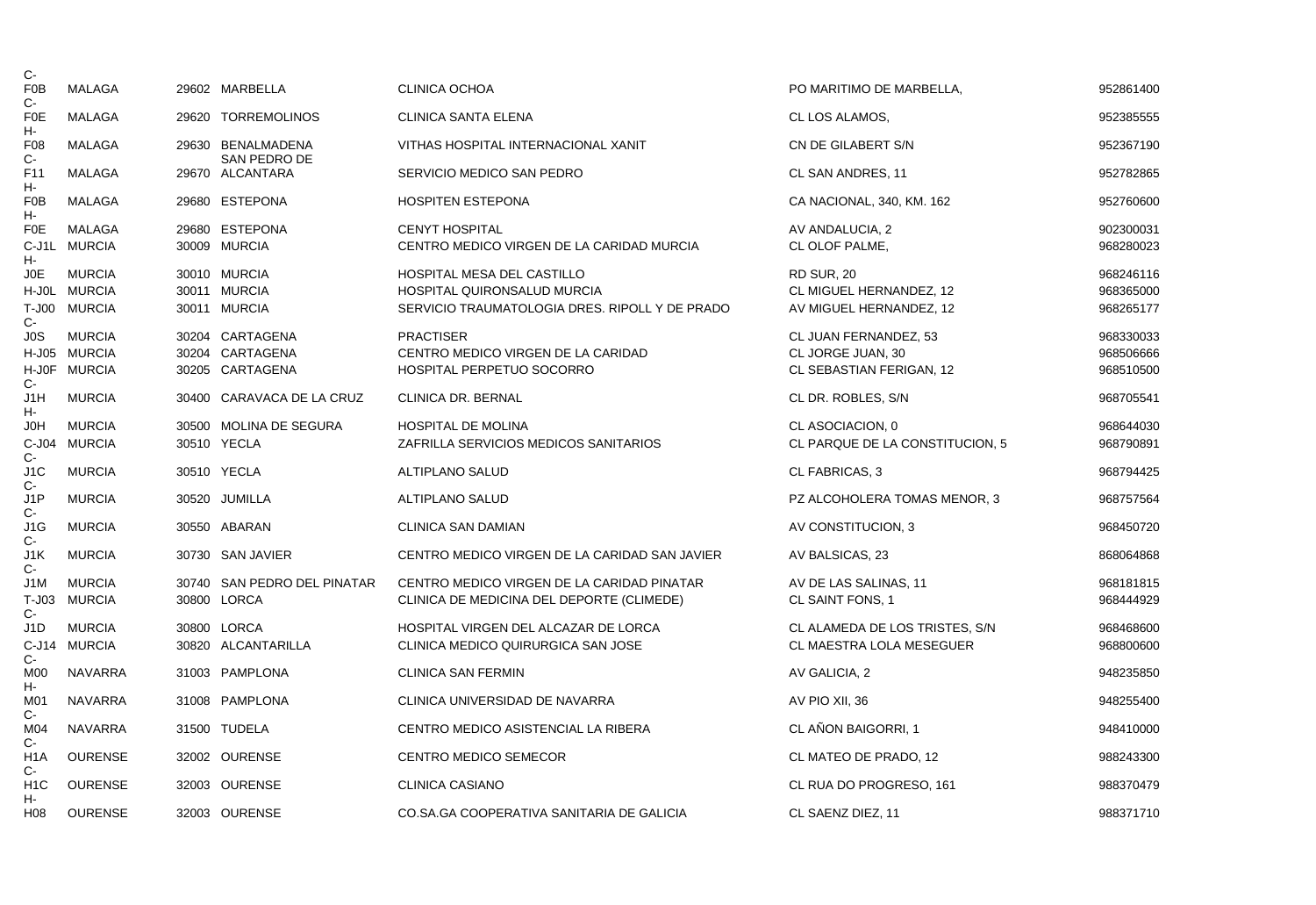| C-                        |                |                                          |                                                |                                 |           |
|---------------------------|----------------|------------------------------------------|------------------------------------------------|---------------------------------|-----------|
| F <sub>0</sub> B<br>$C -$ | MALAGA         | 29602 MARBELLA                           | <b>CLINICA OCHOA</b>                           | PO MARITIMO DE MARBELLA,        | 952861400 |
| <b>F0E</b><br>н-          | <b>MALAGA</b>  | 29620 TORREMOLINOS                       | CLINICA SANTA ELENA                            | CL LOS ALAMOS,                  | 952385555 |
| F <sub>08</sub><br>$C-$   | <b>MALAGA</b>  | 29630 BENALMADENA<br><b>SAN PEDRO DE</b> | VITHAS HOSPITAL INTERNACIONAL XANIT            | CN DE GILABERT S/N              | 952367190 |
| F11<br>н-                 | MALAGA         | 29670 ALCANTARA                          | SERVICIO MEDICO SAN PEDRO                      | CL SAN ANDRES, 11               | 952782865 |
| F <sub>0</sub> B<br>н-    | MALAGA         | 29680 ESTEPONA                           | <b>HOSPITEN ESTEPONA</b>                       | CA NACIONAL, 340, KM. 162       | 952760600 |
| <b>F0E</b>                | MALAGA         | 29680 ESTEPONA                           | <b>CENYT HOSPITAL</b>                          | AV ANDALUCIA, 2                 | 902300031 |
| н-                        | C-J1L MURCIA   | 30009 MURCIA                             | CENTRO MEDICO VIRGEN DE LA CARIDAD MURCIA      | CL OLOF PALME,                  | 968280023 |
| J0E                       | <b>MURCIA</b>  | 30010 MURCIA                             | <b>HOSPITAL MESA DEL CASTILLO</b>              | <b>RD SUR, 20</b>               | 968246116 |
|                           | H-J0L MURCIA   | 30011 MURCIA                             | <b>HOSPITAL QUIRONSALUD MURCIA</b>             | CL MIGUEL HERNANDEZ, 12         | 968365000 |
| $C -$                     | T-J00 MURCIA   | 30011 MURCIA                             | SERVICIO TRAUMATOLOGIA DRES. RIPOLL Y DE PRADO | AV MIGUEL HERNANDEZ, 12         | 968265177 |
| JOS                       | <b>MURCIA</b>  | 30204 CARTAGENA                          | <b>PRACTISER</b>                               | CL JUAN FERNANDEZ, 53           | 968330033 |
|                           | H-J05 MURCIA   | 30204 CARTAGENA                          | CENTRO MEDICO VIRGEN DE LA CARIDAD             | CL JORGE JUAN, 30               | 968506666 |
| $C -$                     | H-J0F MURCIA   | 30205 CARTAGENA                          | HOSPITAL PERPETUO SOCORRO                      | CL SEBASTIAN FERIGAN, 12        | 968510500 |
| J1H<br>н-                 | <b>MURCIA</b>  | 30400 CARAVACA DE LA CRUZ                | CLINICA DR. BERNAL                             | CL DR. ROBLES, S/N              | 968705541 |
| J0H                       | <b>MURCIA</b>  | 30500 MOLINA DE SEGURA                   | <b>HOSPITAL DE MOLINA</b>                      | CL ASOCIACION, 0                | 968644030 |
| $C-$                      | C-J04 MURCIA   | 30510 YECLA                              | ZAFRILLA SERVICIOS MEDICOS SANITARIOS          | CL PARQUE DE LA CONSTITUCION, 5 | 968790891 |
| J <sub>1</sub> C<br>$C -$ | <b>MURCIA</b>  | 30510 YECLA                              | <b>ALTIPLANO SALUD</b>                         | CL FABRICAS, 3                  | 968794425 |
| J1P<br>$C -$              | <b>MURCIA</b>  | 30520 JUMILLA                            | ALTIPLANO SALUD                                | PZ ALCOHOLERA TOMAS MENOR, 3    | 968757564 |
| J <sub>1</sub> G<br>$C-$  | <b>MURCIA</b>  | 30550 ABARAN                             | <b>CLINICA SAN DAMIAN</b>                      | AV CONSTITUCION, 3              | 968450720 |
| J1K<br>$C -$              | <b>MURCIA</b>  | 30730 SAN JAVIER                         | CENTRO MEDICO VIRGEN DE LA CARIDAD SAN JAVIER  | AV BALSICAS, 23                 | 868064868 |
| J1M                       | <b>MURCIA</b>  | 30740 SAN PEDRO DEL PINATAR              | CENTRO MEDICO VIRGEN DE LA CARIDAD PINATAR     | AV DE LAS SALINAS, 11           | 968181815 |
| $T-J03$<br>$C -$          | <b>MURCIA</b>  | 30800 LORCA                              | CLINICA DE MEDICINA DEL DEPORTE (CLIMEDE)      | CL SAINT FONS, 1                | 968444929 |
| J1D                       | <b>MURCIA</b>  | 30800 LORCA                              | HOSPITAL VIRGEN DEL ALCAZAR DE LORCA           | CL ALAMEDA DE LOS TRISTES, S/N  | 968468600 |
| $C -$                     | C-J14 MURCIA   | 30820 ALCANTARILLA                       | CLINICA MEDICO QUIRURGICA SAN JOSE             | CL MAESTRA LOLA MESEGUER        | 968800600 |
| M00<br>н-                 | NAVARRA        | 31003 PAMPLONA                           | <b>CLINICA SAN FERMIN</b>                      | AV GALICIA, 2                   | 948235850 |
| M01<br>$C -$              | NAVARRA        | 31008 PAMPLONA                           | CLINICA UNIVERSIDAD DE NAVARRA                 | AV PIO XII, 36                  | 948255400 |
| M04<br>$C -$              | <b>NAVARRA</b> | 31500 TUDELA                             | CENTRO MEDICO ASISTENCIAL LA RIBERA            | CL AÑON BAIGORRI, 1             | 948410000 |
| H <sub>1</sub> A<br>$C -$ | <b>OURENSE</b> | 32002 OURENSE                            | <b>CENTRO MEDICO SEMECOR</b>                   | CL MATEO DE PRADO, 12           | 988243300 |
| H <sub>1</sub> C<br>н-    | <b>OURENSE</b> | 32003 OURENSE                            | <b>CLINICA CASIANO</b>                         | CL RUA DO PROGRESO, 161         | 988370479 |
| H08                       | <b>OURENSE</b> | 32003 OURENSE                            | CO.SA.GA COOPERATIVA SANITARIA DE GALICIA      | CL SAENZ DIEZ, 11               | 988371710 |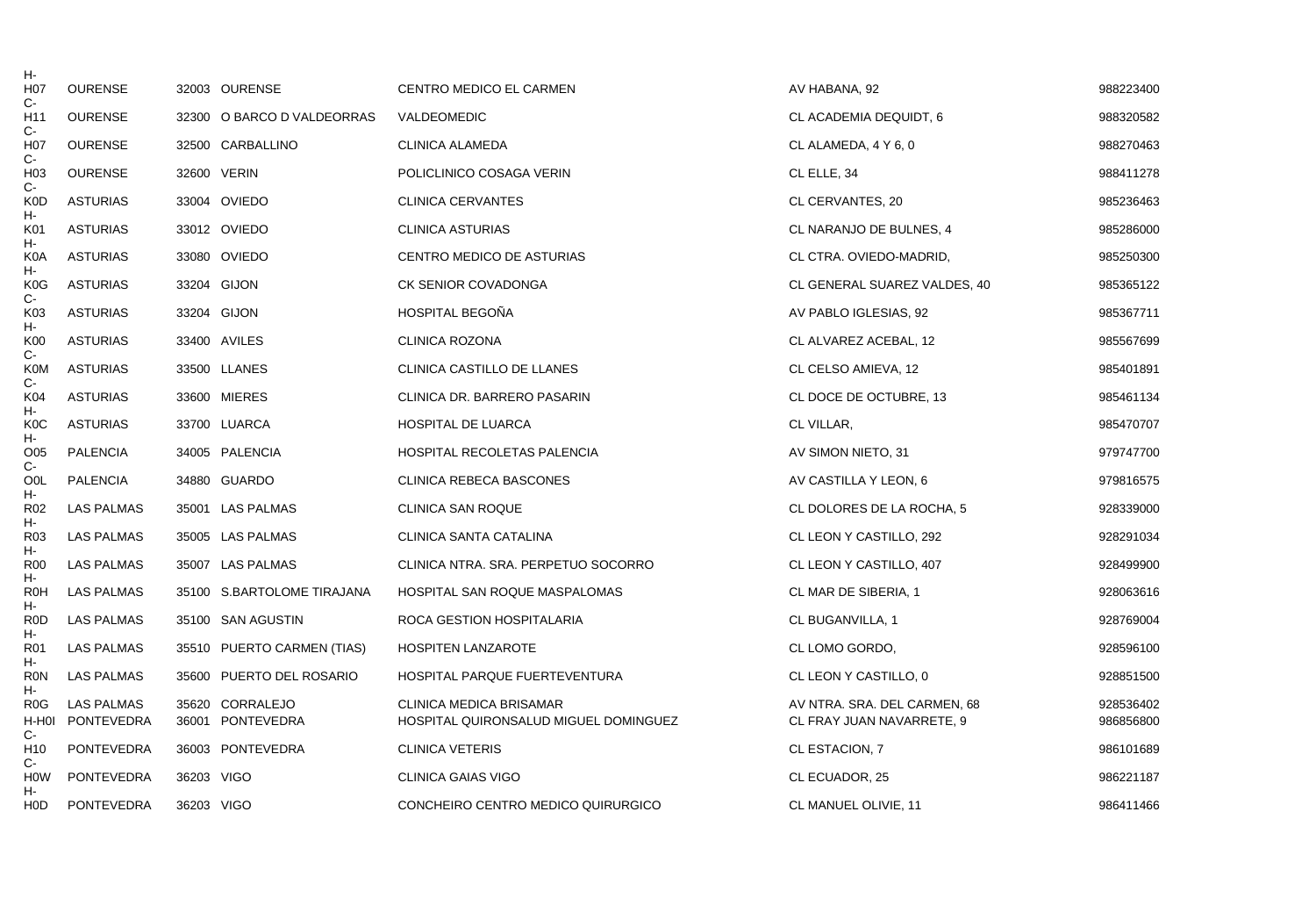| н-                              |                   |            |                            |                                       |                              |           |
|---------------------------------|-------------------|------------|----------------------------|---------------------------------------|------------------------------|-----------|
| H <sub>0</sub>                  | <b>OURENSE</b>    |            | 32003 OURENSE              | CENTRO MEDICO EL CARMEN               | AV HABANA, 92                | 988223400 |
| $C-$<br>H <sub>11</sub><br>$C-$ | <b>OURENSE</b>    |            | 32300 O BARCO D VALDEORRAS | VALDEOMEDIC                           | CL ACADEMIA DEQUIDT, 6       | 988320582 |
| H <sub>0</sub> 7                | <b>OURENSE</b>    |            | 32500 CARBALLINO           | <b>CLINICA ALAMEDA</b>                | CL ALAMEDA, 4 Y 6, 0         | 988270463 |
| $C-$<br>H <sub>03</sub>         | <b>OURENSE</b>    |            | 32600 VERIN                | POLICLINICO COSAGA VERIN              | CL ELLE, 34                  | 988411278 |
| C-<br><b>K0D</b>                | <b>ASTURIAS</b>   |            | 33004 OVIEDO               | CLINICA CERVANTES                     | CL CERVANTES, 20             | 985236463 |
| н-<br>K01                       | <b>ASTURIAS</b>   |            | 33012 OVIEDO               | <b>CLINICA ASTURIAS</b>               | CL NARANJO DE BULNES, 4      | 985286000 |
| н-<br>K <sub>0</sub> A          | <b>ASTURIAS</b>   |            | 33080 OVIEDO               | CENTRO MEDICO DE ASTURIAS             | CL CTRA. OVIEDO-MADRID,      | 985250300 |
| н-<br>K <sub>0</sub> G          | <b>ASTURIAS</b>   |            | 33204 GIJON                | CK SENIOR COVADONGA                   | CL GENERAL SUAREZ VALDES, 40 | 985365122 |
| $C -$<br>K03                    | <b>ASTURIAS</b>   |            | 33204 GIJON                | <b>HOSPITAL BEGOÑA</b>                | AV PABLO IGLESIAS, 92        | 985367711 |
| н-<br>K00                       | <b>ASTURIAS</b>   |            | 33400 AVILES               | <b>CLINICA ROZONA</b>                 | CL ALVAREZ ACEBAL, 12        | 985567699 |
| $C -$<br><b>K0M</b>             | <b>ASTURIAS</b>   |            | 33500 LLANES               | CLINICA CASTILLO DE LLANES            | CL CELSO AMIEVA, 12          | 985401891 |
| $C-$<br>K04                     | <b>ASTURIAS</b>   |            | 33600 MIERES               | CLINICA DR. BARRERO PASARIN           | CL DOCE DE OCTUBRE, 13       | 985461134 |
| н-<br>K <sub>0</sub> C          | <b>ASTURIAS</b>   |            | 33700 LUARCA               | <b>HOSPITAL DE LUARCA</b>             | CL VILLAR,                   | 985470707 |
| н-<br>O05                       | PALENCIA          |            | 34005 PALENCIA             | HOSPITAL RECOLETAS PALENCIA           | AV SIMON NIETO, 31           | 979747700 |
| $C -$<br>O <sub>OL</sub>        | <b>PALENCIA</b>   |            | 34880 GUARDO               | <b>CLINICA REBECA BASCONES</b>        | AV CASTILLA Y LEON, 6        | 979816575 |
| н-<br>R <sub>02</sub>           | <b>LAS PALMAS</b> |            | 35001 LAS PALMAS           | <b>CLINICA SAN ROQUE</b>              | CL DOLORES DE LA ROCHA, 5    | 928339000 |
| н-<br>R <sub>03</sub>           | LAS PALMAS        |            | 35005 LAS PALMAS           | CLINICA SANTA CATALINA                | CL LEON Y CASTILLO, 292      | 928291034 |
| н-<br><b>R00</b>                | <b>LAS PALMAS</b> |            | 35007 LAS PALMAS           | CLINICA NTRA. SRA. PERPETUO SOCORRO   | CL LEON Y CASTILLO, 407      | 928499900 |
| н-<br><b>R0H</b>                | LAS PALMAS        |            | 35100 S.BARTOLOME TIRAJANA | HOSPITAL SAN ROQUE MASPALOMAS         | CL MAR DE SIBERIA, 1         | 928063616 |
| н-<br>R <sub>0</sub> D          | <b>LAS PALMAS</b> |            | 35100 SAN AGUSTIN          | ROCA GESTION HOSPITALARIA             | CL BUGANVILLA, 1             | 928769004 |
| н-<br>R <sub>01</sub>           | <b>LAS PALMAS</b> |            | 35510 PUERTO CARMEN (TIAS) | <b>HOSPITEN LANZAROTE</b>             | CL LOMO GORDO,               | 928596100 |
| н-<br><b>RON</b>                | LAS PALMAS        |            | 35600 PUERTO DEL ROSARIO   | HOSPITAL PARQUE FUERTEVENTURA         | CL LEON Y CASTILLO, 0        | 928851500 |
| н-<br>R <sub>0</sub> G          | <b>LAS PALMAS</b> |            | 35620 CORRALEJO            | <b>CLINICA MEDICA BRISAMAR</b>        | AV NTRA. SRA. DEL CARMEN, 68 | 928536402 |
| H-H0I<br>$C -$                  | PONTEVEDRA        |            | 36001 PONTEVEDRA           | HOSPITAL QUIRONSALUD MIGUEL DOMINGUEZ | CL FRAY JUAN NAVARRETE, 9    | 986856800 |
| H <sub>10</sub><br>$C-$         | <b>PONTEVEDRA</b> |            | 36003 PONTEVEDRA           | <b>CLINICA VETERIS</b>                | CL ESTACION, 7               | 986101689 |
| HOW<br>н-                       | <b>PONTEVEDRA</b> | 36203 VIGO |                            | <b>CLINICA GAIAS VIGO</b>             | CL ECUADOR, 25               | 986221187 |
| H0D                             | <b>PONTEVEDRA</b> | 36203 VIGO |                            | CONCHEIRO CENTRO MEDICO QUIRURGICO    | CL MANUEL OLIVIE, 11         | 986411466 |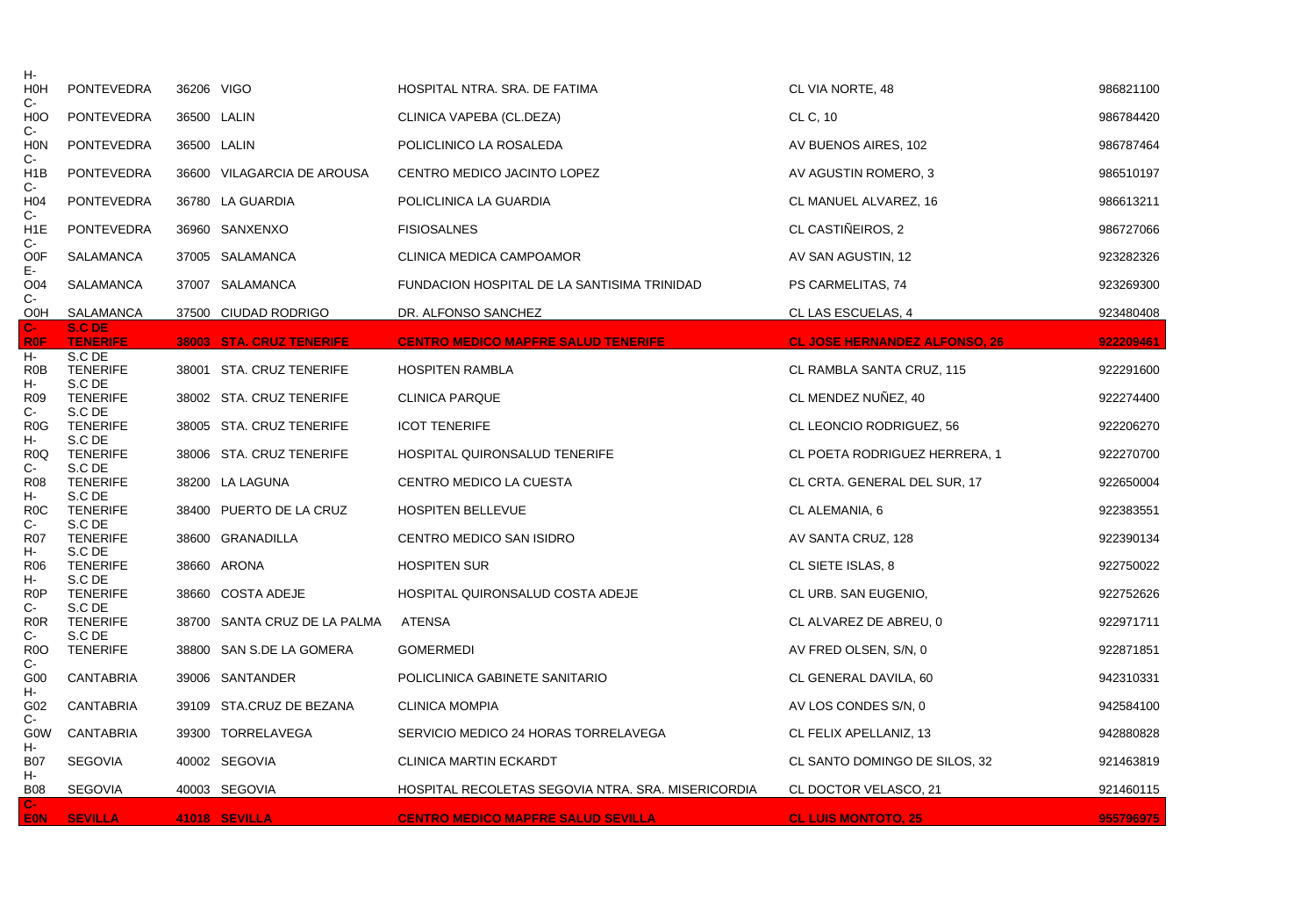| н-<br><b>HOH</b>                  | <b>PONTEVEDRA</b>                   | 36206 VIGO |                              | HOSPITAL NTRA. SRA. DE FATIMA                      | CL VIA NORTE, 48                     | 986821100 |
|-----------------------------------|-------------------------------------|------------|------------------------------|----------------------------------------------------|--------------------------------------|-----------|
| $C-$<br>H <sub>0</sub> O<br>$C -$ | <b>PONTEVEDRA</b>                   |            | 36500 LALIN                  | CLINICA VAPEBA (CL.DEZA)                           | CL C, 10                             | 986784420 |
| <b>HON</b><br>$C-$                | <b>PONTEVEDRA</b>                   |            | 36500 LALIN                  | POLICLINICO LA ROSALEDA                            | AV BUENOS AIRES, 102                 | 986787464 |
| H <sub>1</sub> B<br>$C -$         | <b>PONTEVEDRA</b>                   |            | 36600 VILAGARCIA DE AROUSA   | CENTRO MEDICO JACINTO LOPEZ                        | AV AGUSTIN ROMERO, 3                 | 986510197 |
| H <sub>04</sub><br>$C -$          | <b>PONTEVEDRA</b>                   |            | 36780 LA GUARDIA             | POLICLINICA LA GUARDIA                             | CL MANUEL ALVAREZ, 16                | 986613211 |
| H <sub>1</sub> E<br>$C -$         | <b>PONTEVEDRA</b>                   |            | 36960 SANXENXO               | <b>FISIOSALNES</b>                                 | CL CASTIÑEIROS, 2                    | 986727066 |
| <b>OOF</b><br>Ε-                  | SALAMANCA                           |            | 37005 SALAMANCA              | CLINICA MEDICA CAMPOAMOR                           | AV SAN AGUSTIN, 12                   | 923282326 |
| O04<br>$C-$                       | SALAMANCA                           |            | 37007 SALAMANCA              | FUNDACION HOSPITAL DE LA SANTISIMA TRINIDAD        | PS CARMELITAS, 74                    | 923269300 |
| O <sub>OH</sub>                   | SALAMANCA                           |            | 37500 CIUDAD RODRIGO         | DR. ALFONSO SANCHEZ                                | CL LAS ESCUELAS, 4                   | 923480408 |
| $C-$<br><b>R0F</b>                | S.C DE<br><b>TENERIFE</b>           |            | 38003 STA. CRUZ TENERIFE     | <b>CENTRO MEDICO MAPFRE SALUD TENERIFE</b>         | <b>CL JOSE HERNANDEZ ALFONSO, 26</b> | 922209461 |
| Н-<br>R <sub>0</sub> B<br>H-      | S.C DE<br><b>TENERIFE</b><br>S.C DE |            | 38001 STA. CRUZ TENERIFE     | <b>HOSPITEN RAMBLA</b>                             | CL RAMBLA SANTA CRUZ, 115            | 922291600 |
| R <sub>09</sub><br>$C-$           | <b>TENERIFE</b><br>S.C DE           |            | 38002 STA. CRUZ TENERIFE     | <b>CLINICA PARQUE</b>                              | CL MENDEZ NUÑEZ, 40                  | 922274400 |
| R <sub>0</sub> G<br>н-            | <b>TENERIFE</b><br>S.C DE           |            | 38005 STA. CRUZ TENERIFE     | <b>ICOT TENERIFE</b>                               | CL LEONCIO RODRIGUEZ, 56             | 922206270 |
| R <sub>0</sub> Q<br>$C -$         | <b>TENERIFE</b><br>S.C DE           |            | 38006 STA. CRUZ TENERIFE     | HOSPITAL QUIRONSALUD TENERIFE                      | CL POETA RODRIGUEZ HERRERA, 1        | 922270700 |
| <b>R08</b><br>н-                  | <b>TENERIFE</b><br>S.C DE           |            | 38200 LA LAGUNA              | <b>CENTRO MEDICO LA CUESTA</b>                     | CL CRTA. GENERAL DEL SUR, 17         | 922650004 |
| R <sub>0</sub> C<br>C-            | <b>TENERIFE</b><br>S.C DE           |            | 38400 PUERTO DE LA CRUZ      | <b>HOSPITEN BELLEVUE</b>                           | CL ALEMANIA, 6                       | 922383551 |
| <b>R07</b><br>н-                  | <b>TENERIFE</b><br>S.C DE           |            | 38600 GRANADILLA             | CENTRO MEDICO SAN ISIDRO                           | AV SANTA CRUZ, 128                   | 922390134 |
| R <sub>06</sub><br>н-             | <b>TENERIFE</b><br>S.C DE           |            | 38660 ARONA                  | <b>HOSPITEN SUR</b>                                | CL SIETE ISLAS, 8                    | 922750022 |
| R <sub>0</sub> P<br>C-            | <b>TENERIFE</b><br>S.C DE           |            | 38660 COSTA ADEJE            | HOSPITAL QUIRONSALUD COSTA ADEJE                   | CL URB. SAN EUGENIO,                 | 922752626 |
| R <sub>0</sub> R<br>C-            | <b>TENERIFE</b><br>S.C DE           |            | 38700 SANTA CRUZ DE LA PALMA | ATENSA                                             | CL ALVAREZ DE ABREU, 0               | 922971711 |
| R <sub>0</sub> O                  | <b>TENERIFE</b>                     |            | 38800 SAN S.DE LA GOMERA     | <b>GOMERMEDI</b>                                   | AV FRED OLSEN, S/N, 0                | 922871851 |
| $C -$<br>G <sub>00</sub>          | <b>CANTABRIA</b>                    |            | 39006 SANTANDER              | POLICLINICA GABINETE SANITARIO                     | CL GENERAL DAVILA, 60                | 942310331 |
| н-<br>G02                         | <b>CANTABRIA</b>                    |            | 39109 STA.CRUZ DE BEZANA     | <b>CLINICA MOMPIA</b>                              | AV LOS CONDES S/N, 0                 | 942584100 |
| $C -$<br><b>GOW</b>               | <b>CANTABRIA</b>                    |            | 39300 TORRELAVEGA            | SERVICIO MEDICO 24 HORAS TORRELAVEGA               | CL FELIX APELLANIZ, 13               | 942880828 |
| н-<br><b>B07</b>                  | <b>SEGOVIA</b>                      |            | 40002 SEGOVIA                | <b>CLINICA MARTIN ECKARDT</b>                      | CL SANTO DOMINGO DE SILOS, 32        | 921463819 |
| н-<br><b>B08</b>                  | <b>SEGOVIA</b>                      |            | 40003 SEGOVIA                | HOSPITAL RECOLETAS SEGOVIA NTRA. SRA. MISERICORDIA | CL DOCTOR VELASCO, 21                | 921460115 |
| С-<br>EON:                        | <b>SEVILLA</b>                      |            | 41018 SEVILLA                | <b>CENTRO MEDICO MAPFRE SALUD SEVILLA</b>          | <b>CL LUIS MONTOTO, 25</b>           | 955796975 |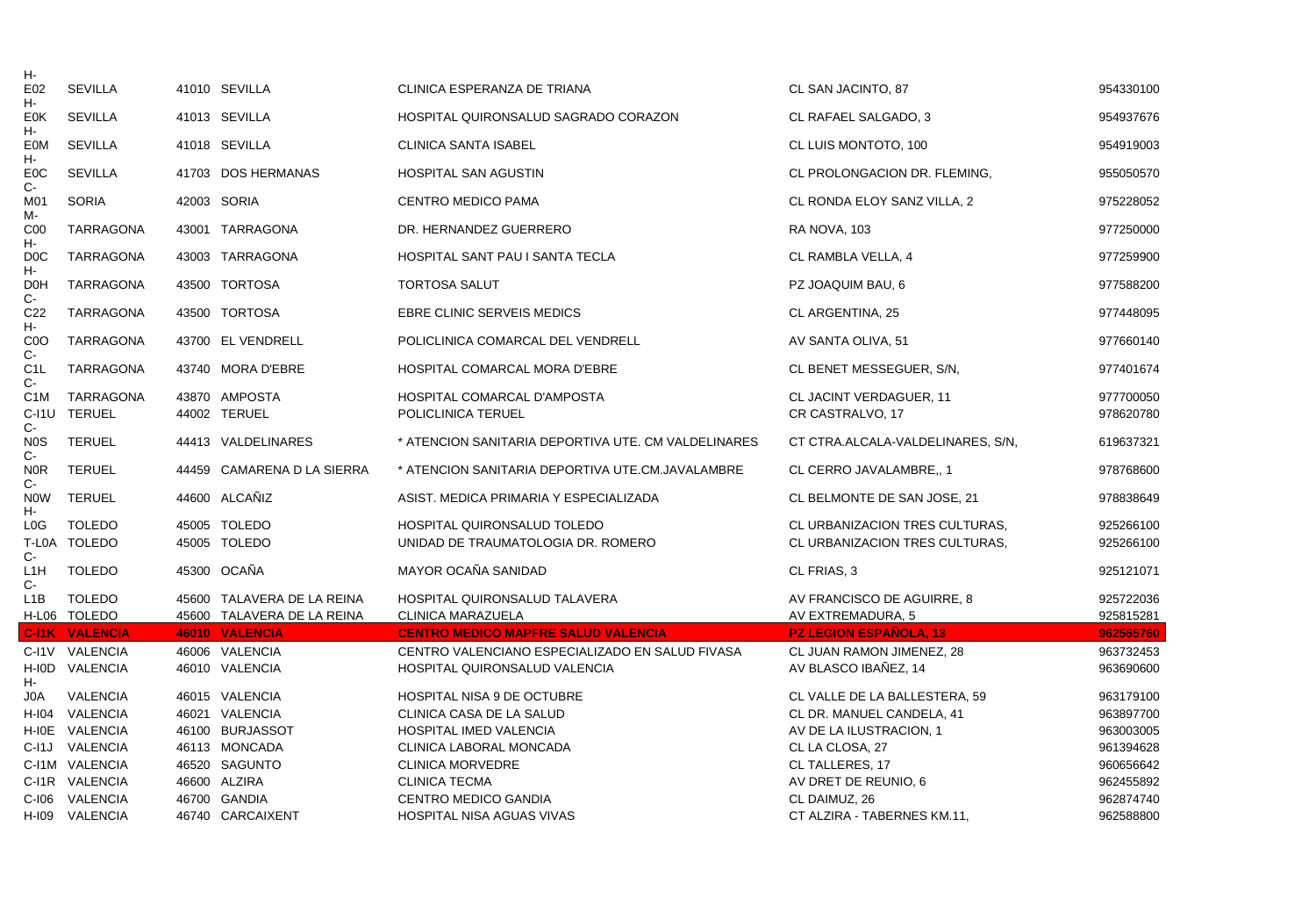| н-                        |                                         |                                  |                                                                                               |                                                            |                        |
|---------------------------|-----------------------------------------|----------------------------------|-----------------------------------------------------------------------------------------------|------------------------------------------------------------|------------------------|
| E02<br>н-                 | <b>SEVILLA</b>                          | 41010 SEVILLA                    | CLINICA ESPERANZA DE TRIANA                                                                   | CL SAN JACINTO, 87                                         | 954330100              |
| <b>E0K</b><br>Н-          | <b>SEVILLA</b>                          | 41013 SEVILLA                    | HOSPITAL QUIRONSALUD SAGRADO CORAZON                                                          | CL RAFAEL SALGADO, 3                                       | 954937676              |
| EOM<br>н-                 | <b>SEVILLA</b>                          | 41018 SEVILLA                    | <b>CLINICA SANTA ISABEL</b>                                                                   | CL LUIS MONTOTO, 100                                       | 954919003              |
| E <sub>0</sub> C<br>C-    | <b>SEVILLA</b>                          | 41703 DOS HERMANAS               | <b>HOSPITAL SAN AGUSTIN</b>                                                                   | CL PROLONGACION DR. FLEMING,                               | 955050570              |
| M01<br>M-                 | <b>SORIA</b>                            | 42003 SORIA                      | <b>CENTRO MEDICO PAMA</b>                                                                     | CL RONDA ELOY SANZ VILLA, 2                                | 975228052              |
| C <sub>00</sub><br>Н-     | <b>TARRAGONA</b>                        | 43001 TARRAGONA                  | DR. HERNANDEZ GUERRERO                                                                        | RA NOVA, 103                                               | 977250000              |
| D <sub>0</sub> C<br>н-    | <b>TARRAGONA</b>                        | 43003 TARRAGONA                  | <b>HOSPITAL SANT PAU I SANTA TECLA</b>                                                        | CL RAMBLA VELLA, 4                                         | 977259900              |
| D <sub>O</sub> H<br>C-    | <b>TARRAGONA</b>                        | 43500 TORTOSA                    | <b>TORTOSA SALUT</b>                                                                          | PZ JOAQUIM BAU, 6                                          | 977588200              |
| C <sub>22</sub><br>н-     | <b>TARRAGONA</b>                        | 43500 TORTOSA                    | EBRE CLINIC SERVEIS MEDICS                                                                    | CL ARGENTINA, 25                                           | 977448095              |
| C <sub>0</sub> O<br>C-    | TARRAGONA                               | 43700 EL VENDRELL                | POLICLINICA COMARCAL DEL VENDRELL                                                             | AV SANTA OLIVA, 51                                         | 977660140              |
| C <sub>1</sub> L<br>$C-$  | <b>TARRAGONA</b>                        | 43740 MORA D'EBRE                | HOSPITAL COMARCAL MORA D'EBRE                                                                 | CL BENET MESSEGUER, S/N,                                   | 977401674              |
| C <sub>1</sub> M          | TARRAGONA                               | 43870 AMPOSTA                    | HOSPITAL COMARCAL D'AMPOSTA                                                                   | CL JACINT VERDAGUER, 11                                    | 977700050              |
| С-                        | C-I1U TERUEL                            | 44002 TERUEL                     | POLICLINICA TERUEL                                                                            | CR CASTRALVO, 17                                           | 978620780              |
| N <sub>0</sub> S<br>C-    | <b>TERUEL</b>                           | 44413 VALDELINARES               | * ATENCION SANITARIA DEPORTIVA UTE. CM VALDELINARES                                           | CT CTRA.ALCALA-VALDELINARES, S/N,                          | 619637321              |
| <b>NOR</b><br>$C -$       | <b>TERUEL</b>                           | 44459 CAMARENA D LA SIERRA       | * ATENCION SANITARIA DEPORTIVA UTE.CM.JAVALAMBRE                                              | CL CERRO JAVALAMBRE., 1                                    | 978768600              |
| <b>NOW</b><br>Н-          | <b>TERUEL</b>                           | 44600 ALCAÑIZ                    | ASIST. MEDICA PRIMARIA Y ESPECIALIZADA                                                        | CL BELMONTE DE SAN JOSE, 21                                | 978838649              |
| L <sub>0</sub> G          | <b>TOLEDO</b>                           | 45005 TOLEDO                     | HOSPITAL QUIRONSALUD TOLEDO                                                                   | CL URBANIZACION TRES CULTURAS.                             | 925266100              |
| $C-$                      | T-L0A TOLEDO                            | 45005 TOLEDO                     | UNIDAD DE TRAUMATOLOGIA DR. ROMERO                                                            | CL URBANIZACION TRES CULTURAS,                             | 925266100              |
| L <sub>1</sub> H<br>$C -$ | <b>TOLEDO</b>                           | 45300 OCAÑA                      | MAYOR OCAÑA SANIDAD                                                                           | CL FRIAS, 3                                                | 925121071              |
| L <sub>1</sub> B          | <b>TOLEDO</b>                           | 45600 TALAVERA DE LA REINA       | HOSPITAL QUIRONSALUD TALAVERA                                                                 | AV FRANCISCO DE AGUIRRE, 8                                 | 925722036              |
|                           | H-L06 TOLEDO                            | 45600 TALAVERA DE LA REINA       | CLINICA MARAZUELA                                                                             | AV EXTREMADURA, 5                                          | 925815281              |
|                           | <b>C-I1K VALENCIA</b><br>C-I1V VALENCIA | 46010 VALENCIA<br>46006 VALENCIA | <b>CENTRO MEDICO MAPFRE SALUD VALENCIA</b><br>CENTRO VALENCIANO ESPECIALIZADO EN SALUD FIVASA | <b>PZ LEGION ESPAÑOLA, 13</b><br>CL JUAN RAMON JIMENEZ, 28 | 962565760              |
|                           | H-IOD VALENCIA                          | 46010 VALENCIA                   | HOSPITAL QUIRONSALUD VALENCIA                                                                 | AV BLASCO IBAÑEZ, 14                                       | 963732453<br>963690600 |
| Н-<br>J0A                 | <b>VALENCIA</b>                         | 46015 VALENCIA                   | HOSPITAL NISA 9 DE OCTUBRE                                                                    | CL VALLE DE LA BALLESTERA, 59                              | 963179100              |
|                           | H-104 VALENCIA                          | 46021 VALENCIA                   | CLINICA CASA DE LA SALUD                                                                      | CL DR. MANUEL CANDELA, 41                                  | 963897700              |
|                           | H-I0E VALENCIA                          | 46100 BURJASSOT                  | <b>HOSPITAL IMED VALENCIA</b>                                                                 | AV DE LA ILUSTRACION, 1                                    | 963003005              |
|                           | C-I1J VALENCIA                          | 46113 MONCADA                    | CLINICA LABORAL MONCADA                                                                       | CL LA CLOSA, 27                                            | 961394628              |
|                           | C-I1M VALENCIA                          | 46520 SAGUNTO                    | <b>CLINICA MORVEDRE</b>                                                                       | CL TALLERES, 17                                            | 960656642              |
|                           | C-I1R VALENCIA                          | 46600 ALZIRA                     | <b>CLINICA TECMA</b>                                                                          | AV DRET DE REUNIO, 6                                       | 962455892              |
|                           | C-I06 VALENCIA                          | 46700 GANDIA                     | CENTRO MEDICO GANDIA                                                                          | CL DAIMUZ, 26                                              | 962874740              |
|                           | H-I09 VALENCIA                          | 46740 CARCAIXENT                 | <b>HOSPITAL NISA AGUAS VIVAS</b>                                                              | CT ALZIRA - TABERNES KM.11,                                | 962588800              |